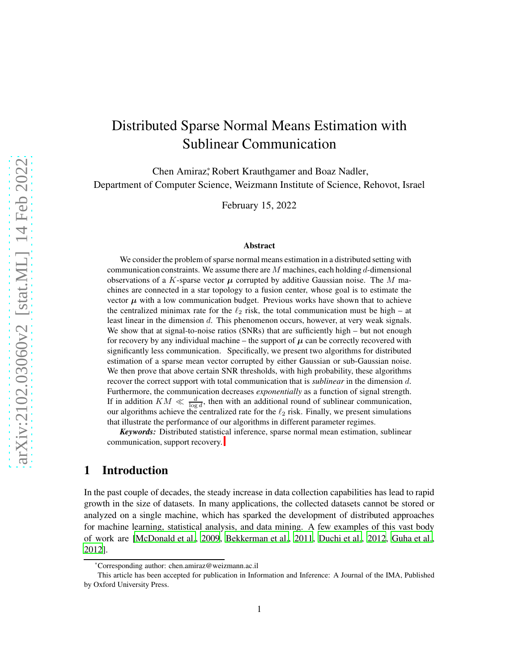# Distributed Sparse Normal Means Estimation with Sublinear Communication

Chen Amiraz, Robert Krauthgamer and Boaz Nadler, Department of Computer Science, Weizmann Institute of Science, Rehovot, Israel

February 15, 2022

#### Abstract

We consider the problem of sparse normal means estimation in a distributed setting with communication constraints. We assume there are  $M$  machines, each holding  $d$ -dimensional observations of a K-sparse vector  $\mu$  corrupted by additive Gaussian noise. The M machines are connected in a star topology to a fusion center, whose goal is to estimate the vector  $\mu$  with a low communication budget. Previous works have shown that to achieve the centralized minimax rate for the  $\ell_2$  risk, the total communication must be high – at least linear in the dimension d. This phenomenon occurs, however, at very weak signals. We show that at signal-to-noise ratios (SNRs) that are sufficiently high – but not enough for recovery by any individual machine – the support of  $\mu$  can be correctly recovered with significantly less communication. Specifically, we present two algorithms for distributed estimation of a sparse mean vector corrupted by either Gaussian or sub-Gaussian noise. We then prove that above certain SNR thresholds, with high probability, these algorithms recover the correct support with total communication that is *sublinear* in the dimension d. Furthermore, the communication decreases *exponentially* as a function of signal strength. If in addition  $KM \ll \frac{d}{\log d}$ , then with an additional round of sublinear communication, our algorithms achieve the centralized rate for the  $\ell_2$  risk. Finally, we present simulations that illustrate the performance of our algorithms in different parameter regimes.

*Keywords:* Distributed statisti[ca](#page-0-0)l inference, sparse normal mean estimation, sublinear communication, support recovery.

# 1 Introduction

In the past couple of decades, the steady increase in data collection capabilities has lead to rapid growth in the size of datasets. In many applications, the collected datasets cannot be stored or analyzed on a single machine, which has sparked the development of distributed approaches for machine learning, statistical analysis, and data mining. A few examples of this vast body of work are [\[McDonald et al., 2009](#page-34-0), [Bekkerman et al., 2011](#page-33-0), [Duchi et al., 2012](#page-34-1), [Guha et al.](#page-34-2), [2012](#page-34-2)].

<sup>\*</sup>Corresponding author: chen.amiraz@weizmann.ac.il

<span id="page-0-0"></span>This article has been accepted for publication in Information and Inference: A Journal of the IMA, Published by Oxford University Press.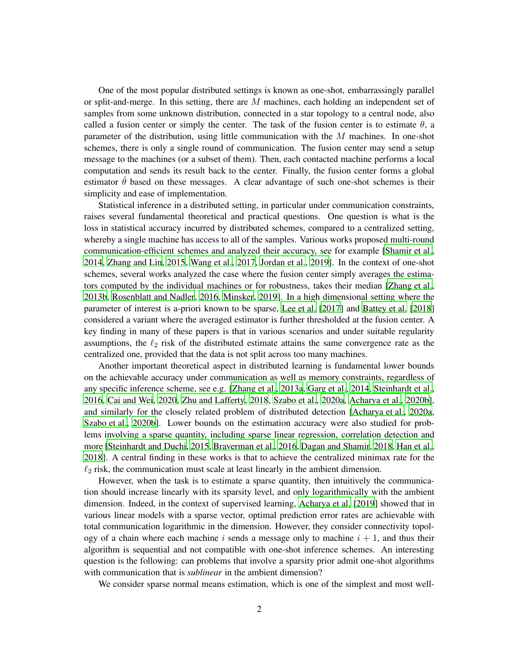One of the most popular distributed settings is known as one-shot, embarrassingly parallel or split-and-merge. In this setting, there are M machines, each holding an independent set of samples from some unknown distribution, connected in a star topology to a central node, also called a fusion center or simply the center. The task of the fusion center is to estimate  $\theta$ , a parameter of the distribution, using little communication with the M machines. In one-shot schemes, there is only a single round of communication. The fusion center may send a setup message to the machines (or a subset of them). Then, each contacted machine performs a local computation and sends its result back to the center. Finally, the fusion center forms a global estimator  $\hat{\theta}$  based on these messages. A clear advantage of such one-shot schemes is their simplicity and ease of implementation.

Statistical inference in a distributed setting, in particular under communication constraints, raises several fundamental theoretical and practical questions. One question is what is the loss in statistical accuracy incurred by distributed schemes, compared to a centralized setting, whereby a single machine has access to all of the samples. Various works proposed multi-round communication-efficient schemes and analyzed their accuracy, see for example [\[Shamir et al.](#page-35-0), [2014](#page-35-0), [Zhang and Lin](#page-35-1), [2015,](#page-35-1) [Wang et al., 2017](#page-35-2), [Jordan et al.](#page-34-3), [2019](#page-34-3)]. In the context of one-shot schemes, several works analyzed the case where the fusion center simply averages the estimators computed by the individual machines or for robustness, takes their median [\[Zhang et al.](#page-35-3), [2013b](#page-35-3), [Rosenblatt and Nadler, 2016](#page-35-4), [Minsker](#page-34-4), [2019](#page-34-4)]. In a high dimensional setting where the parameter of interest is a-priori known to be sparse, [Lee et al. \[2017\]](#page-34-5) and [Battey et al. \[2018](#page-33-1)] considered a variant where the averaged estimator is further thresholded at the fusion center. A key finding in many of these papers is that in various scenarios and under suitable regularity assumptions, the  $\ell_2$  risk of the distributed estimate attains the same convergence rate as the centralized one, provided that the data is not split across too many machines.

Another important theoretical aspect in distributed learning is fundamental lower bounds on the achievable accuracy under communication as well as memory constraints, regardless of any specific inference scheme, see e.g. [\[Zhang et al., 2013a,](#page-35-5) [Garg et al., 2014,](#page-34-6) [Steinhardt et al.](#page-35-6), [2016](#page-35-6), [Cai and Wei, 2020](#page-34-7), [Zhu and Lafferty, 2018,](#page-35-7) [Szabo et al.](#page-35-8), [2020a](#page-35-8), [Acharya et al.](#page-33-2), [2020b](#page-33-2)], and similarly for the closely related problem of distributed detection [\[Acharya et al., 2020a](#page-33-3), [Szabo et al., 2020b\]](#page-35-9). Lower bounds on the estimation accuracy were also studied for problems involving a sparse quantity, including sparse linear regression, correlation detection and more [\[Steinhardt and Duchi](#page-35-10), [2015,](#page-35-10) [Braverman et al., 2016](#page-34-8), [Dagan and Shamir](#page-34-9), [2018](#page-34-9), [Han et al.](#page-34-10), [2018](#page-34-10)]. A central finding in these works is that to achieve the centralized minimax rate for the  $\ell_2$  risk, the communication must scale at least linearly in the ambient dimension.

However, when the task is to estimate a sparse quantity, then intuitively the communication should increase linearly with its sparsity level, and only logarithmically with the ambient dimension. Indeed, in the context of supervised learning, [Acharya et al. \[2019](#page-33-4)] showed that in various linear models with a sparse vector, optimal prediction error rates are achievable with total communication logarithmic in the dimension. However, they consider connectivity topology of a chain where each machine i sends a message only to machine  $i + 1$ , and thus their algorithm is sequential and not compatible with one-shot inference schemes. An interesting question is the following: can problems that involve a sparsity prior admit one-shot algorithms with communication that is *sublinear* in the ambient dimension?

We consider sparse normal means estimation, which is one of the simplest and most well-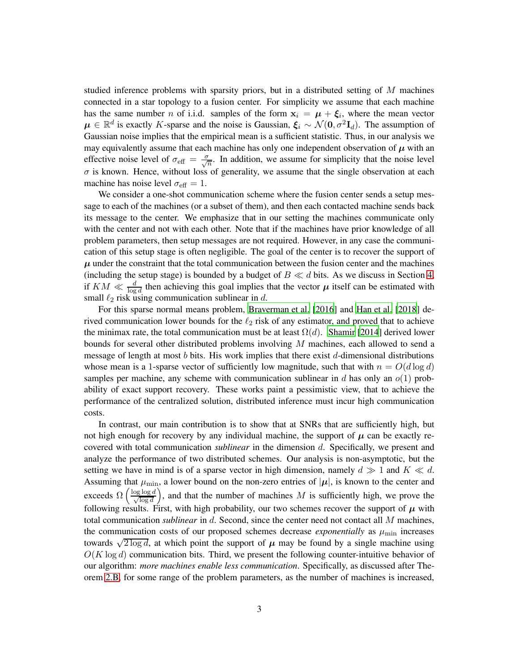studied inference problems with sparsity priors, but in a distributed setting of M machines connected in a star topology to a fusion center. For simplicity we assume that each machine has the same number *n* of i.i.d. samples of the form  $x_i = \mu + \xi_i$ , where the mean vector  $\mu \in \mathbb{R}^d$  is exactly K-sparse and the noise is Gaussian,  $\xi_i \sim \mathcal{N}(0, \sigma^2 \mathbf{I}_d)$ . The assumption of Gaussian noise implies that the empirical mean is a sufficient statistic. Thus, in our analysis we may equivalently assume that each machine has only one independent observation of  $\mu$  with an effective noise level of  $\sigma_{\text{eff}} = \frac{\sigma}{\sqrt{n}}$ . In addition, we assume for simplicity that the noise level  $\sigma$  is known. Hence, without loss of generality, we assume that the single observation at each machine has noise level  $\sigma_{\text{eff}} = 1$ .

We consider a one-shot communication scheme where the fusion center sends a setup message to each of the machines (or a subset of them), and then each contacted machine sends back its message to the center. We emphasize that in our setting the machines communicate only with the center and not with each other. Note that if the machines have prior knowledge of all problem parameters, then setup messages are not required. However, in any case the communication of this setup stage is often negligible. The goal of the center is to recover the support of  $\mu$  under the constraint that the total communication between the fusion center and the machines (including the setup stage) is bounded by a budget of  $B \ll d$  bits. As we discuss in Section [4,](#page-13-0) if  $KM \ll \frac{d}{\log d}$  then achieving this goal implies that the vector  $\mu$  itself can be estimated with small  $\ell_2$  risk using communication sublinear in d.

For this sparse normal means problem, [Braverman et al. \[2016](#page-34-8)] and [Han et al. \[2018\]](#page-34-10) derived communication lower bounds for the  $\ell_2$  risk of any estimator, and proved that to achieve the minimax rate, the total communication must be at least  $\Omega(d)$ . [Shamir \[2014](#page-35-11)] derived lower bounds for several other distributed problems involving M machines, each allowed to send a message of length at most b bits. His work implies that there exist d-dimensional distributions whose mean is a 1-sparse vector of sufficiently low magnitude, such that with  $n = O(d \log d)$ samples per machine, any scheme with communication sublinear in d has only an  $o(1)$  probability of exact support recovery. These works paint a pessimistic view, that to achieve the performance of the centralized solution, distributed inference must incur high communication costs.

In contrast, our main contribution is to show that at SNRs that are sufficiently high, but not high enough for recovery by any individual machine, the support of  $\mu$  can be exactly recovered with total communication *sublinear* in the dimension d. Specifically, we present and analyze the performance of two distributed schemes. Our analysis is non-asymptotic, but the setting we have in mind is of a sparse vector in high dimension, namely  $d \gg 1$  and  $K \ll d$ . Assuming that  $\mu_{\min}$ , a lower bound on the non-zero entries of  $|\mu|$ , is known to the center and exceeds  $\Omega\left(\frac{\log \log d}{\sqrt{\log d}}\right)$ ), and that the number of machines  $M$  is sufficiently high, we prove the following results. First, with high probability, our two schemes recover the support of  $\mu$  with total communication *sublinear* in d. Second, since the center need not contact all M machines, the communication costs of our proposed schemes decrease *exponentially* as  $\mu_{\text{min}}$  increases towards  $\sqrt{2 \log d}$ , at which point the support of  $\mu$  may be found by a single machine using  $O(K \log d)$  communication bits. Third, we present the following counter-intuitive behavior of our algorithm: *more machines enable less communication*. Specifically, as discussed after Theorem [2.B,](#page-10-0) for some range of the problem parameters, as the number of machines is increased,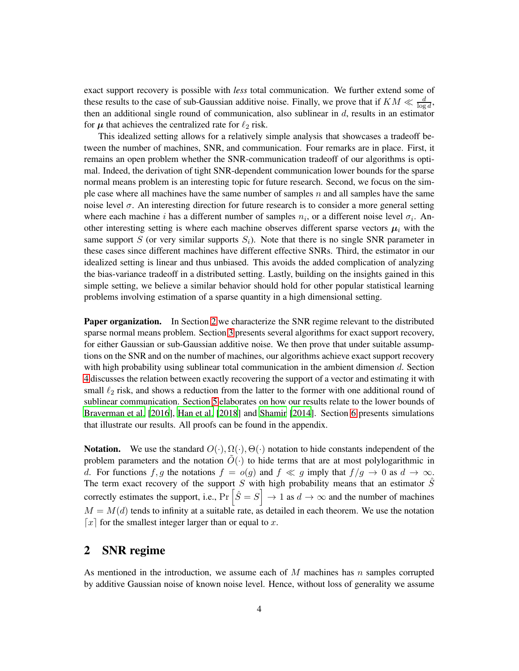exact support recovery is possible with *less* total communication. We further extend some of these results to the case of sub-Gaussian additive noise. Finally, we prove that if  $KM \ll \frac{d}{\log d}$ , then an additional single round of communication, also sublinear in  $d$ , results in an estimator for  $\mu$  that achieves the centralized rate for  $\ell_2$  risk.

This idealized setting allows for a relatively simple analysis that showcases a tradeoff between the number of machines, SNR, and communication. Four remarks are in place. First, it remains an open problem whether the SNR-communication tradeoff of our algorithms is optimal. Indeed, the derivation of tight SNR-dependent communication lower bounds for the sparse normal means problem is an interesting topic for future research. Second, we focus on the simple case where all machines have the same number of samples n and all samples have the same noise level  $\sigma$ . An interesting direction for future research is to consider a more general setting where each machine i has a different number of samples  $n_i$ , or a different noise level  $\sigma_i$ . Another interesting setting is where each machine observes different sparse vectors  $\mu_i$  with the same support S (or very similar supports  $S_i$ ). Note that there is no single SNR parameter in these cases since different machines have different effective SNRs. Third, the estimator in our idealized setting is linear and thus unbiased. This avoids the added complication of analyzing the bias-variance tradeoff in a distributed setting. Lastly, building on the insights gained in this simple setting, we believe a similar behavior should hold for other popular statistical learning problems involving estimation of a sparse quantity in a high dimensional setting.

Paper organization. In Section [2](#page-3-0) we characterize the SNR regime relevant to the distributed sparse normal means problem. Section [3](#page-4-0) presents several algorithms for exact support recovery, for either Gaussian or sub-Gaussian additive noise. We then prove that under suitable assumptions on the SNR and on the number of machines, our algorithms achieve exact support recovery with high probability using sublinear total communication in the ambient dimension d. Section [4](#page-13-0) discusses the relation between exactly recovering the support of a vector and estimating it with small  $\ell_2$  risk, and shows a reduction from the latter to the former with one additional round of sublinear communication. Section [5](#page-16-0) elaborates on how our results relate to the lower bounds of [Braverman et al. \[2016](#page-34-8)], [Han et al.](#page-34-10) [\[2018](#page-34-10)] and [Shamir \[2014](#page-35-11)]. Section [6](#page-18-0) presents simulations that illustrate our results. All proofs can be found in the appendix.

**Notation.** We use the standard  $O(\cdot), \Omega(\cdot), \Theta(\cdot)$  notation to hide constants independent of the problem parameters and the notation  $\tilde{O}(\cdot)$  to hide terms that are at most polylogarithmic in d. For functions f, g the notations  $f = o(g)$  and  $f \ll g$  imply that  $f/g \to 0$  as  $d \to \infty$ . The term exact recovery of the support S with high probability means that an estimator  $\hat{S}$ correctly estimates the support, i.e.,  $Pr\left[\hat{S} = S\right] \to 1$  as  $d \to \infty$  and the number of machines  $M = M(d)$  tends to infinity at a suitable rate, as detailed in each theorem. We use the notation  $\lceil x \rceil$  for the smallest integer larger than or equal to x.

# <span id="page-3-0"></span>2 SNR regime

As mentioned in the introduction, we assume each of  $M$  machines has  $n$  samples corrupted by additive Gaussian noise of known noise level. Hence, without loss of generality we assume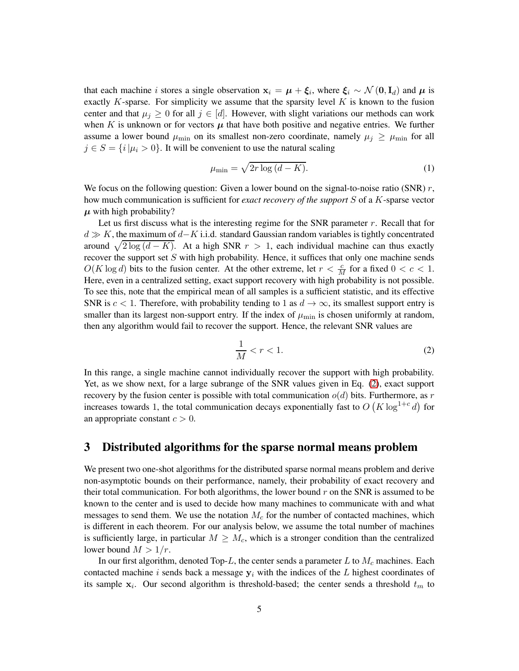that each machine *i* stores a single observation  $x_i = \mu + \xi_i$ , where  $\xi_i \sim \mathcal{N}(0, I_d)$  and  $\mu$  is exactly  $K$ -sparse. For simplicity we assume that the sparsity level  $K$  is known to the fusion center and that  $\mu_j \geq 0$  for all  $j \in [d]$ . However, with slight variations our methods can work when K is unknown or for vectors  $\mu$  that have both positive and negative entries. We further assume a lower bound  $\mu_{\min}$  on its smallest non-zero coordinate, namely  $\mu_j \ge \mu_{\min}$  for all  $j \in S = \{i | \mu_i > 0\}$ . It will be convenient to use the natural scaling

<span id="page-4-2"></span>
$$
\mu_{\min} = \sqrt{2r \log \left(d - K\right)}.\tag{1}
$$

We focus on the following question: Given a lower bound on the signal-to-noise ratio (SNR)  $r$ , how much communication is sufficient for *exact recovery of the support* S of a K-sparse vector  $\mu$  with high probability?

Let us first discuss what is the interesting regime for the SNR parameter r. Recall that for  $d \gg K$ , the maximum of  $d-K$  i.i.d. standard Gaussian random variables is tightly concentrated around  $\sqrt{2 \log (d - K)}$ . At a high SNR  $r > 1$ , each individual machine can thus exactly recover the support set  $S$  with high probability. Hence, it suffices that only one machine sends  $O(K \log d)$  bits to the fusion center. At the other extreme, let  $r < \frac{c}{M}$  for a fixed  $0 < c < 1$ . Here, even in a centralized setting, exact support recovery with high probability is not possible. To see this, note that the empirical mean of all samples is a sufficient statistic, and its effective SNR is  $c < 1$ . Therefore, with probability tending to 1 as  $d \to \infty$ , its smallest support entry is smaller than its largest non-support entry. If the index of  $\mu_{\min}$  is chosen uniformly at random, then any algorithm would fail to recover the support. Hence, the relevant SNR values are

<span id="page-4-1"></span>
$$
\frac{1}{M} < r < 1. \tag{2}
$$

In this range, a single machine cannot individually recover the support with high probability. Yet, as we show next, for a large subrange of the SNR values given in Eq. [\(2\)](#page-4-1), exact support recovery by the fusion center is possible with total communication  $o(d)$  bits. Furthermore, as r increases towards 1, the total communication decays exponentially fast to  $O(K \log^{1+c} d)$  for an appropriate constant  $c > 0$ .

# <span id="page-4-0"></span>3 Distributed algorithms for the sparse normal means problem

We present two one-shot algorithms for the distributed sparse normal means problem and derive non-asymptotic bounds on their performance, namely, their probability of exact recovery and their total communication. For both algorithms, the lower bound  $r$  on the SNR is assumed to be known to the center and is used to decide how many machines to communicate with and what messages to send them. We use the notation  $M_c$  for the number of contacted machines, which is different in each theorem. For our analysis below, we assume the total number of machines is sufficiently large, in particular  $M \geq M_c$ , which is a stronger condition than the centralized lower bound  $M > 1/r$ .

In our first algorithm, denoted Top-L, the center sends a parameter L to  $M_c$  machines. Each contacted machine i sends back a message  $y_i$  with the indices of the L highest coordinates of its sample  $x_i$ . Our second algorithm is threshold-based; the center sends a threshold  $t_m$  to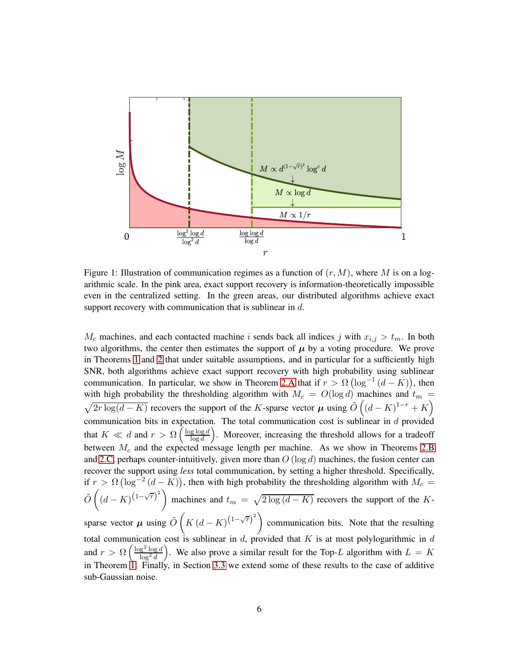<span id="page-5-0"></span>

Figure 1: Illustration of communication regimes as a function of  $(r, M)$ , where M is on a logarithmic scale. In the pink area, exact support recovery is information-theoretically impossible even in the centralized setting. In the green areas, our distributed algorithms achieve exact support recovery with communication that is sublinear in d.

 $M_c$  machines, and each contacted machine i sends back all indices j with  $x_{i,j} > t_m$ . In both two algorithms, the center then estimates the support of  $\mu$  by a voting procedure. We prove in Theorems [1](#page-10-1) and [2](#page-10-0) that under suitable assumptions, and in particular for a sufficiently high SNR, both algorithms achieve exact support recovery with high probability using sublinear communication. In particular, we show in Theorem [2.A](#page-10-1) that if  $r > \Omega(\log^{-1}(d - K))$ , then with high probability the thresholding algorithm with  $M_c = O(\log d)$  machines and  $t_m =$  $\sqrt{2r \log(d-K)}$  recovers the support of the K-sparse vector  $\mu$  using  $\tilde{O}((d-K)^{1-r}+K)$ communication bits in expectation. The total communication cost is sublinear in  $d$  provided that  $K \ll d$  and  $r > \Omega \left( \frac{\log \log d}{\log d} \right)$  $\frac{g \log d}{\log d}$ ). Moreover, increasing the threshold allows for a tradeoff between  $M_c$  and the expected message length per machine. As we show in Theorems [2.B](#page-10-0) and [2.C,](#page-12-0) perhaps counter-intuitively, given more than  $O(\log d)$  machines, the fusion center can recover the support using *less* total communication, by setting a higher threshold. Specifically, if  $r > \Omega(\log^{-2}(d - K))$ , then with high probability the thresholding algorithm with  $M_c =$  $\tilde{O}\left((d-K)^{(1-\sqrt{r})^2}\right)$  machines and  $t_m = \sqrt{2\log(d-K)}$  recovers the support of the Ksparse vector  $\mu$  using  $\tilde{O}\left(K\left(d-K\right)^{\left(1-\sqrt{r}\right)^2}\right)$  communication bits. Note that the resulting total communication cost is sublinear in d, provided that K is at most polylogarithmic in d and  $r > \Omega \left( \frac{\log^2 \log d}{\log^2 d} \right)$  $\log^2 d$ ). We also prove a similar result for the Top-L algorithm with  $L = K$ in Theorem [1.](#page-10-1) Finally, in Section [3.3](#page-11-0) we extend some of these results to the case of additive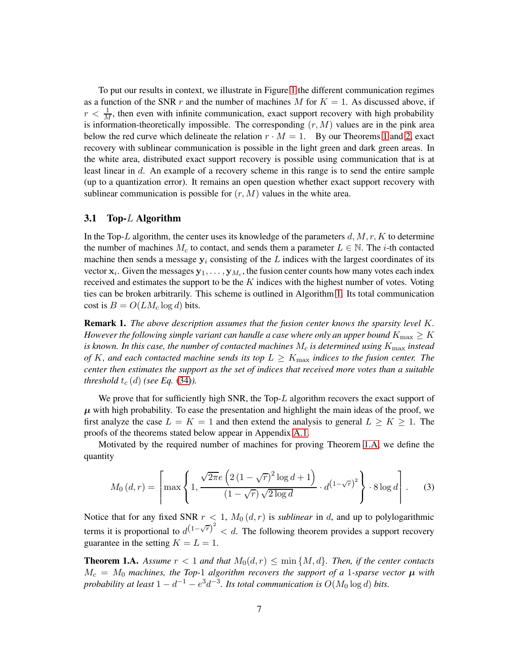To put our results in context, we illustrate in Figure [1](#page-5-0) the different communication regimes as a function of the SNR r and the number of machines M for  $K = 1$ . As discussed above, if  $r < \frac{1}{M}$ , then even with infinite communication, exact support recovery with high probability is information-theoretically impossible. The corresponding  $(r, M)$  values are in the pink area below the red curve which delineate the relation  $r \cdot M = 1$  $r \cdot M = 1$ . By our Theorems 1 and [2,](#page-10-0) exact recovery with sublinear communication is possible in the light green and dark green areas. In the white area, distributed exact support recovery is possible using communication that is at least linear in d. An example of a recovery scheme in this range is to send the entire sample (up to a quantization error). It remains an open question whether exact support recovery with sublinear communication is possible for  $(r, M)$  values in the white area.

#### 3.1 Top-L Algorithm

In the Top-L algorithm, the center uses its knowledge of the parameters  $d, M, r, K$  to determine the number of machines  $M_c$  to contact, and sends them a parameter  $L \in \mathbb{N}$ . The *i*-th contacted machine then sends a message  $y_i$  consisting of the L indices with the largest coordinates of its vector  $x_i$ . Given the messages  $y_1, \ldots, y_{M_c}$ , the fusion center counts how many votes each index received and estimates the support to be the  $K$  indices with the highest number of votes. Voting ties can be broken arbitrarily. This scheme is outlined in Algorithm [1.](#page-7-0) Its total communication cost is  $B = O(LM_c \log d)$  bits.

<span id="page-6-1"></span>Remark 1. *The above description assumes that the fusion center knows the sparsity level* K*. However the following simple variant can handle a case where only an upper bound*  $K_{\text{max}} \geq K$ *is known. In this case, the number of contacted machines*  $M_c$  *is determined using*  $K_{\text{max}}$  *instead of* K, and each contacted machine sends its top  $L \geq K_{\text{max}}$  indices to the fusion center. The *center then estimates the support as the set of indices that received more votes than a suitable threshold*  $t_c$  (d) *(see Eq.* [\(34\)](#page-21-0)*)*.

We prove that for sufficiently high SNR, the Top- $L$  algorithm recovers the exact support of  $\mu$  with high probability. To ease the presentation and highlight the main ideas of the proof, we first analyze the case  $L = K = 1$  and then extend the analysis to general  $L \geq K \geq 1$ . The proofs of the theorems stated below appear in Appendix [A.1.](#page-22-0)

Motivated by the required number of machines for proving Theorem [1.A,](#page-10-1) we define the quantity

<span id="page-6-0"></span>
$$
M_0(d,r) = \left[ \max \left\{ 1, \frac{\sqrt{2\pi}e\left( 2\left(1 - \sqrt{r}\right)^2 \log d + 1 \right)}{(1 - \sqrt{r})\sqrt{2\log d}} \cdot d^{(1 - \sqrt{r})^2} \right\} \cdot 8 \log d \right].
$$
 (3)

Notice that for any fixed SNR  $r < 1$ ,  $M_0(d, r)$  is *sublinear* in d, and up to polylogarithmic terms it is proportional to  $d^{(1-\sqrt{r})^2} < d$ . The following theorem provides a support recovery guarantee in the setting  $K = L = 1$ .

**Theorem 1.A.** Assume  $r < 1$  and that  $M_0(d, r) \leq \min\{M, d\}$ . Then, if the center contacts  $M_c = M_0$  machines, the Top-1 algorithm recovers the support of a 1-sparse vector  $\mu$  with *probability at least*  $1 - d^{-1} - e^{3}d^{-3}$ . Its total communication is  $O(M_0 \log d)$  bits.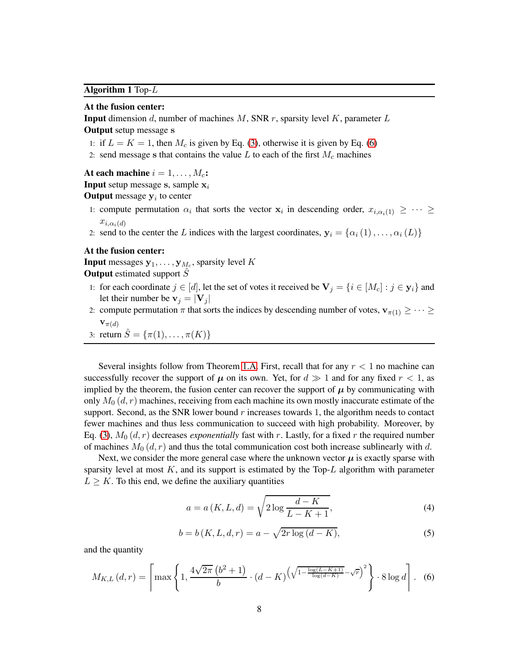#### <span id="page-7-0"></span>Algorithm 1 Top-L

#### At the fusion center:

**Input** dimension d, number of machines M, SNR r, sparsity level K, parameter L Output setup message s

- 1: if  $L = K = 1$ , then  $M_c$  is given by Eq. [\(3\)](#page-6-0), otherwise it is given by Eq. [\(6\)](#page-7-1)
- 2: send message s that contains the value  $L$  to each of the first  $M_c$  machines

At each machine  $i = 1, \ldots, M_c$ :

**Input** setup message s, sample  $x_i$ 

**Output** message  $y_i$  to center

- 1: compute permutation  $\alpha_i$  that sorts the vector  $\mathbf{x}_i$  in descending order,  $x_{i,\alpha_i(1)} \geq \cdots \geq$  $x_{i,\alpha_i(d)}$
- 2: send to the center the L indices with the largest coordinates,  $y_i = {\alpha_i(1), \dots, \alpha_i(L)}$

### At the fusion center:

**Input** messages  $y_1, \ldots, y_{M_c}$ , sparsity level K **Output** estimated support  $\hat{S}$ 

- 1: for each coordinate  $j \in [d]$ , let the set of votes it received be  $V_j = \{i \in [M_c] : j \in y_i\}$  and let their number be  $v_j = |V_j|$
- 2: compute permutation  $\pi$  that sorts the indices by descending number of votes,  $\mathbf{v}_{\pi(1)} \geq \cdots \geq$  ${\bf v}_{\pi(d)}$

3: return 
$$
\hat{S} = {\pi(1), ..., \pi(K)}
$$

Several insights follow from Theorem [1.A.](#page-10-1) First, recall that for any  $r < 1$  no machine can successfully recover the support of  $\mu$  on its own. Yet, for  $d \gg 1$  and for any fixed  $r < 1$ , as implied by the theorem, the fusion center can recover the support of  $\mu$  by communicating with only  $M_0(d, r)$  machines, receiving from each machine its own mostly inaccurate estimate of the support. Second, as the SNR lower bound  $r$  increases towards 1, the algorithm needs to contact fewer machines and thus less communication to succeed with high probability. Moreover, by Eq. [\(3\)](#page-6-0),  $M_0(d, r)$  decreases *exponentially* fast with r. Lastly, for a fixed r the required number of machines  $M_0(d, r)$  and thus the total communication cost both increase sublinearly with d.

Next, we consider the more general case where the unknown vector  $\mu$  is exactly sparse with sparsity level at most  $K$ , and its support is estimated by the Top- $L$  algorithm with parameter  $L \geq K$ . To this end, we define the auxiliary quantities

<span id="page-7-2"></span>
$$
a = a(K, L, d) = \sqrt{2 \log \frac{d - K}{L - K + 1}},
$$
\n(4)

<span id="page-7-3"></span>
$$
b = b(K, L, d, r) = a - \sqrt{2r \log (d - K)},
$$
\n(5)

and the quantity

<span id="page-7-1"></span>
$$
M_{K,L}(d,r) = \left\lceil \max\left\{1, \frac{4\sqrt{2\pi} \left(b^2 + 1\right)}{b} \cdot (d - K) \left(\sqrt{1 - \frac{\log(L - K + 1)}{\log(d - K)}} - \sqrt{r}\right)^2\right\} \cdot 8 \log d \right\rceil. \tag{6}
$$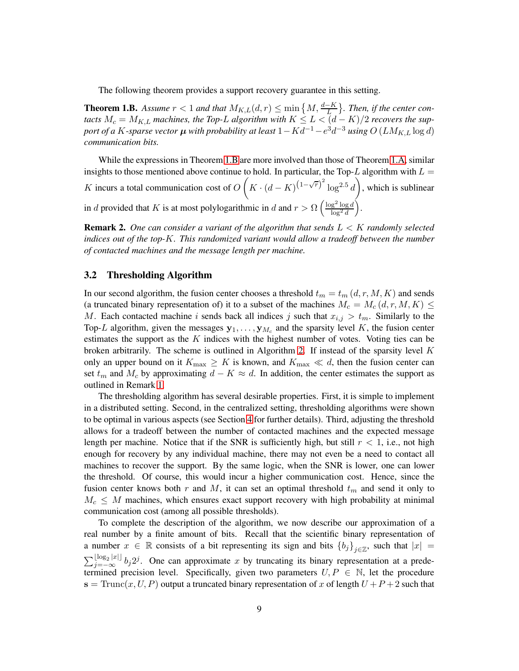The following theorem provides a support recovery guarantee in this setting.

**Theorem 1.B.** Assume  $r < 1$  and that  $M_{K,L}(d,r) \le \min\left\{M, \frac{d-K}{L}\right\}$ . Then, if the center con*tacts*  $M_c = M_{K,L}$  *machines, the Top-L algorithm with*  $K \le L < (d - K)/2$  *recovers the support of a K-sparse vector*  $\boldsymbol{\mu}$  *with probability at least*  $1 - K d^{-1} - e^{3} d^{-3}$  *<i>using*  $O\left(L M_{K,L} \log d\right)$ *communication bits.*

While the expressions in Theorem [1.B](#page-10-0) are more involved than those of Theorem [1.A,](#page-10-1) similar insights to those mentioned above continue to hold. In particular, the Top-L algorithm with  $L =$ K incurs a total communication cost of  $O(K \cdot (d - K)^{(1 - \sqrt{r})^2} \log^{2.5} d)$ , which is sublinear in d provided that K is at most polylogarithmic in d and  $r > \Omega \left( \frac{\log^2 \log d}{\log^2 d} \right)$  $\log^2 d$ .

Remark 2. *One can consider a variant of the algorithm that sends* L < K *randomly selected indices out of the top-*K*. This randomized variant would allow a tradeoff between the number of contacted machines and the message length per machine.*

#### 3.2 Thresholding Algorithm

In our second algorithm, the fusion center chooses a threshold  $t_m = t_m (d, r, M, K)$  and sends (a truncated binary representation of) it to a subset of the machines  $M_c = M_c(d, r, M, K) \leq$ M. Each contacted machine i sends back all indices j such that  $x_{i,j} > t_m$ . Similarly to the Top-L algorithm, given the messages  $y_1, \ldots, y_{M_c}$  and the sparsity level K, the fusion center estimates the support as the  $K$  indices with the highest number of votes. Voting ties can be broken arbitrarily. The scheme is outlined in Algorithm [2.](#page-9-0) If instead of the sparsity level  $K$ only an upper bound on it  $K_{\text{max}} \geq K$  is known, and  $K_{\text{max}} \ll d$ , then the fusion center can set  $t_m$  and  $M_c$  by approximating  $d - K \approx d$ . In addition, the center estimates the support as outlined in Remark [1.](#page-6-1)

The thresholding algorithm has several desirable properties. First, it is simple to implement in a distributed setting. Second, in the centralized setting, thresholding algorithms were shown to be optimal in various aspects (see Section [4](#page-13-0) for further details). Third, adjusting the threshold allows for a tradeoff between the number of contacted machines and the expected message length per machine. Notice that if the SNR is sufficiently high, but still  $r < 1$ , i.e., not high enough for recovery by any individual machine, there may not even be a need to contact all machines to recover the support. By the same logic, when the SNR is lower, one can lower the threshold. Of course, this would incur a higher communication cost. Hence, since the fusion center knows both r and M, it can set an optimal threshold  $t<sub>m</sub>$  and send it only to  $M_c \leq M$  machines, which ensures exact support recovery with high probability at minimal communication cost (among all possible thresholds).

To complete the description of the algorithm, we now describe our approximation of a real number by a finite amount of bits. Recall that the scientific binary representation of a number  $x \in \mathbb{R}$  consists of a bit representing its sign and bits  ${b_j}_{j \in \mathbb{Z}}$ , such that  $|x| =$  $\sum_{j=-\infty}^{\lfloor \log_2 |x| \rfloor} b_j 2^j$ . One can approximate x by truncating its binary representation at a predetermined precision level. Specifically, given two parameters  $U, P \in \mathbb{N}$ , let the procedure  $s = \text{Trunc}(x, U, P)$  output a truncated binary representation of x of length  $U + P + 2$  such that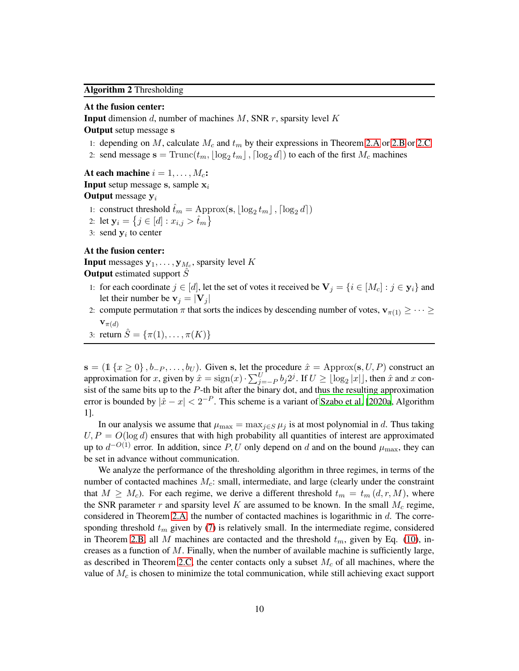#### <span id="page-9-0"></span>Algorithm 2 Thresholding

#### At the fusion center:

**Input** dimension d, number of machines M, SNR r, sparsity level K

## Output setup message s

- 1: depending on M, calculate  $M_c$  and  $t_m$  by their expressions in Theorem [2.A](#page-10-1) or [2.B](#page-10-0) or [2.C](#page-12-0)
- 2: send message  $\mathbf{s} = \text{Trunc}(t_m, \lfloor \log_2 t_m \rfloor, \lceil \log_2 d \rceil)$  to each of the first  $M_c$  machines

At each machine  $i = 1, \ldots, M_c$ : **Input** setup message s, sample  $x_i$ **Output** message  $y_i$ 

- 1: construct threshold  $\hat{t}_m = \text{Approx}(\mathbf{s}, \lfloor \log_2 t_m \rfloor, \lceil \log_2 d \rceil)$
- 2: let  $y_i = \{j \in [d] : x_{i,j} > \hat{t}_m\}$
- 3: send  $y_i$  to center

## At the fusion center:

**Input** messages  $y_1, \ldots, y_{M_c}$ , sparsity level K **Output** estimated support  $\hat{S}$ 

- 1: for each coordinate  $j \in [d]$ , let the set of votes it received be  $V_j = \{i \in [M_c] : j \in y_i\}$  and let their number be  $v_j = |V_j|$
- 2: compute permutation  $\pi$  that sorts the indices by descending number of votes,  $\mathbf{v}_{\pi(1)} \geq \cdots \geq$  ${\bf v}_{\pi(d)}$
- 3: return  $\hat{S} = \{\pi(1), \dots, \pi(K)\}\$

 $\mathbf{s} = (1 \{x \ge 0\}, b_{-P}, \ldots, b_U)$ . Given s, let the procedure  $\hat{x} = \text{Approx}(\mathbf{s}, U, P)$  construct an approximation for x, given by  $\hat{x} = \text{sign}(x) \cdot \sum_{j=-P}^{U} b_j 2^j$ . If  $U \geq \lfloor \log_2 |x| \rfloor$ , then  $\hat{x}$  and x consist of the same bits up to the  $P$ -th bit after the binary dot, and thus the resulting approximation error is bounded by  $|\hat{x} - x| < 2^{-P}$ . This scheme is a variant of [Szabo et al. \[2020a,](#page-35-8) Algorithm 1].

In our analysis we assume that  $\mu_{\text{max}} = \max_{j \in S} \mu_j$  is at most polynomial in d. Thus taking  $U, P = O(\log d)$  ensures that with high probability all quantities of interest are approximated up to  $d^{-O(1)}$  error. In addition, since P, U only depend on d and on the bound  $\mu_{\max}$ , they can be set in advance without communication.

We analyze the performance of the thresholding algorithm in three regimes, in terms of the number of contacted machines  $M_c$ : small, intermediate, and large (clearly under the constraint that  $M \geq M_c$ ). For each regime, we derive a different threshold  $t_m = t_m (d, r, M)$ , where the SNR parameter  $r$  and sparsity level  $K$  are assumed to be known. In the small  $M_c$  regime, considered in Theorem [2.A,](#page-10-1) the number of contacted machines is logarithmic in d. The corresponding threshold  $t_m$  given by [\(7\)](#page-10-2) is relatively small. In the intermediate regime, considered in Theorem [2.B,](#page-10-0) all M machines are contacted and the threshold  $t_m$ , given by Eq. [\(10\)](#page-10-3), increases as a function of  $M$ . Finally, when the number of available machine is sufficiently large, as described in Theorem [2.C,](#page-12-0) the center contacts only a subset  $M_c$  of all machines, where the value of  $M_c$  is chosen to minimize the total communication, while still achieving exact support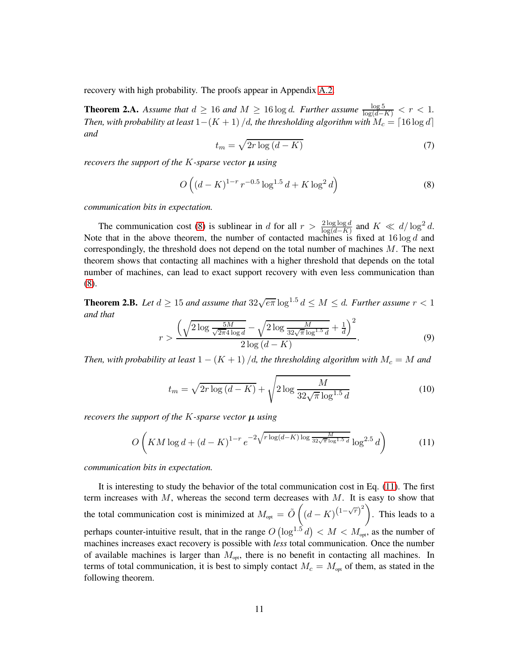recovery with high probability. The proofs appear in Appendix [A.2.](#page-25-0)

<span id="page-10-1"></span>**Theorem 2.A.** *Assume that*  $d \ge 16$  *and*  $M \ge 16 \log d$ *. Further assume*  $\frac{\log 5}{\log(d-K)} < r < 1$ . *Then, with probability at least*  $1-(K+1)/d$ , the thresholding algorithm with  $M_c = \lceil 16 \log d \rceil$ *and*

<span id="page-10-2"></span>
$$
t_m = \sqrt{2r \log\left(d - K\right)}\tag{7}
$$

*recovers the support of the*  $K$ -sparse vector  $\mu$  *using* 

<span id="page-10-4"></span>
$$
O\left((d-K)^{1-r}r^{-0.5}\log^{1.5}d + K\log^2 d\right) \tag{8}
$$

*communication bits in expectation.*

The communication cost [\(8\)](#page-10-4) is sublinear in d for all  $r > \frac{2 \log \log d}{\log(d-K)}$  and  $K \ll d/\log^2 d$ . Note that in the above theorem, the number of contacted machines is fixed at  $16 \log d$  and correspondingly, the threshold does not depend on the total number of machines M. The next theorem shows that contacting all machines with a higher threshold that depends on the total number of machines, can lead to exact support recovery with even less communication than [\(8\)](#page-10-4).

<span id="page-10-0"></span>**Theorem 2.B.** Let  $d \geq 15$  and assume that  $32\sqrt{e\pi} \log^{1.5} d \leq M \leq d$ . Further assume  $r < 1$ *and that*

<span id="page-10-6"></span>
$$
r > \frac{\left(\sqrt{2\log\frac{5M}{\sqrt{2\pi}4\log d}} - \sqrt{2\log\frac{M}{32\sqrt{\pi}\log^{1.5}d}} + \frac{1}{d}\right)^2}{2\log\left(d - K\right)}.
$$
(9)

*Then, with probability at least*  $1 - (K + 1) / d$ , the thresholding algorithm with  $M_c = M$  and

<span id="page-10-3"></span>
$$
t_m = \sqrt{2r \log\left(d - K\right)} + \sqrt{2 \log \frac{M}{32\sqrt{\pi} \log^{1.5} d}}
$$
(10)

*recovers the support of the K-sparse vector*  $\mu$  *using* 

<span id="page-10-5"></span>
$$
O\left(KM\log d + (d-K)^{1-r} e^{-2\sqrt{r\log(d-K)\log\frac{M}{32\sqrt{\pi}\log^{1.5}d}}}\log^{2.5}d\right) \tag{11}
$$

*communication bits in expectation.*

It is interesting to study the behavior of the total communication cost in Eq. [\(11\)](#page-10-5). The first term increases with  $M$ , whereas the second term decreases with  $M$ . It is easy to show that the total communication cost is minimized at  $M_{opt} = \tilde{O}\left((d - K)^{(1 - \sqrt{r})^2}\right)$ . This leads to a perhaps counter-intuitive result, that in the range  $O\left(\log^{1.5} d\right) < M < M_{\text{opt}}$ , as the number of machines increases exact recovery is possible with *less* total communication. Once the number of available machines is larger than  $M_{\text{opt}}$ , there is no benefit in contacting all machines. In terms of total communication, it is best to simply contact  $M_c = M_{\text{opt}}$  of them, as stated in the following theorem.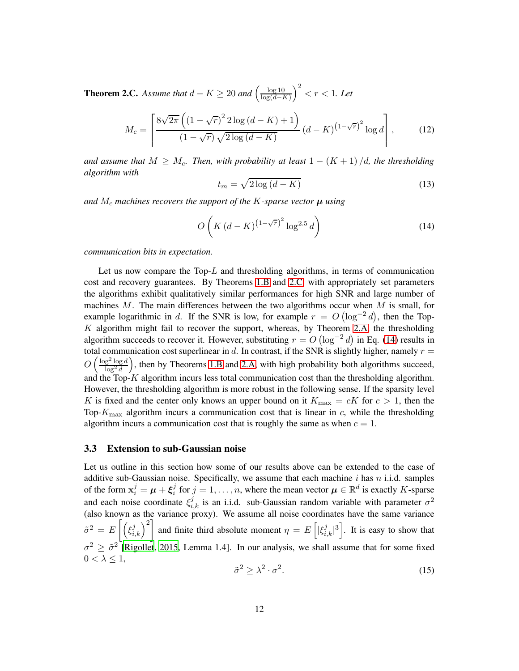**Theorem 2.C.** Assume that  $d - K \ge 20$  and  $\left(\frac{\log 10}{\log(d-1)}\right)$  $log(d-K)$  $\big)^2 < r < 1.$  Let

<span id="page-11-2"></span>
$$
M_c = \left[ \frac{8\sqrt{2\pi} \left( (1 - \sqrt{r})^2 2 \log \left( d - K \right) + 1 \right)}{(1 - \sqrt{r}) \sqrt{2 \log \left( d - K \right)}} \left( d - K \right)^{\left( 1 - \sqrt{r} \right)^2} \log d \right],\tag{12}
$$

*and assume that*  $M \geq M_c$ . Then, with probability at least  $1 - (K + 1)/d$ , the thresholding *algorithm with*

<span id="page-11-3"></span>
$$
t_m = \sqrt{2\log\left(d - K\right)}\tag{13}
$$

*and*  $M_c$  *machines recovers the support of the* K-sparse vector  $\mu$  *using* 

<span id="page-11-1"></span>
$$
O\left(K\left(d-K\right)^{\left(1-\sqrt{r}\right)^2}\log^{2.5}d\right)
$$
\n(14)

*communication bits in expectation.*

Let us now compare the  $Top-L$  and thresholding algorithms, in terms of communication cost and recovery guarantees. By Theorems [1.B](#page-10-0) and [2.C,](#page-12-0) with appropriately set parameters the algorithms exhibit qualitatively similar performances for high SNR and large number of machines  $M$ . The main differences between the two algorithms occur when  $M$  is small, for example logarithmic in d. If the SNR is low, for example  $r = O(\log^{-2} d)$ , then the Top- $K$  algorithm might fail to recover the support, whereas, by Theorem [2.A,](#page-10-1) the thresholding algorithm succeeds to recover it. However, substituting  $r = O(\log^{-2} d)$  in Eq. [\(14\)](#page-11-1) results in total communication cost superlinear in d. In contrast, if the SNR is slightly higher, namely  $r =$  $O\left(\frac{\log^2\log d}{\log^2 d}\right)$  $\log^2 d$  , then by Theorems [1.B](#page-10-0) and [2.A,](#page-10-1) with high probability both algorithms succeed, and the Top- $K$  algorithm incurs less total communication cost than the thresholding algorithm. However, the thresholding algorithm is more robust in the following sense. If the sparsity level K is fixed and the center only knows an upper bound on it  $K_{\text{max}} = cK$  for  $c > 1$ , then the Top- $K_{\text{max}}$  algorithm incurs a communication cost that is linear in c, while the thresholding algorithm incurs a communication cost that is roughly the same as when  $c = 1$ .

#### <span id="page-11-0"></span>3.3 Extension to sub-Gaussian noise

Let us outline in this section how some of our results above can be extended to the case of additive sub-Gaussian noise. Specifically, we assume that each machine i has n i.i.d. samples of the form  $\mathbf{x}_i^j = \boldsymbol{\mu} + \boldsymbol{\xi}_i^j$  $i_j$  for  $j = 1, ..., n$ , where the mean vector  $\boldsymbol{\mu} \in \mathbb{R}^d$  is exactly K-sparse and each noise coordinate  $\xi_{i,k}^{j}$  is an i.i.d. sub-Gaussian random variable with parameter  $\sigma^{2}$ (also known as the variance proxy). We assume all noise coordinates have the same variance  $\tilde{\sigma}^2 = E\left[\left(\xi_{i,k}^j\right)^2\right]$  and finite third absolute moment  $\eta = E\left[\left|\xi_{i,k}^j\right|^3\right]$ . It is easy to show that  $\sigma^2 \geq \tilde{\sigma}^2$  [\[Rigollet](#page-35-12), [2015](#page-35-12), Lemma 1.4]. In our analysis, we shall assume that for some fixed  $0 < \lambda \leq 1$ ,

<span id="page-11-4"></span>
$$
\tilde{\sigma}^2 \ge \lambda^2 \cdot \sigma^2. \tag{15}
$$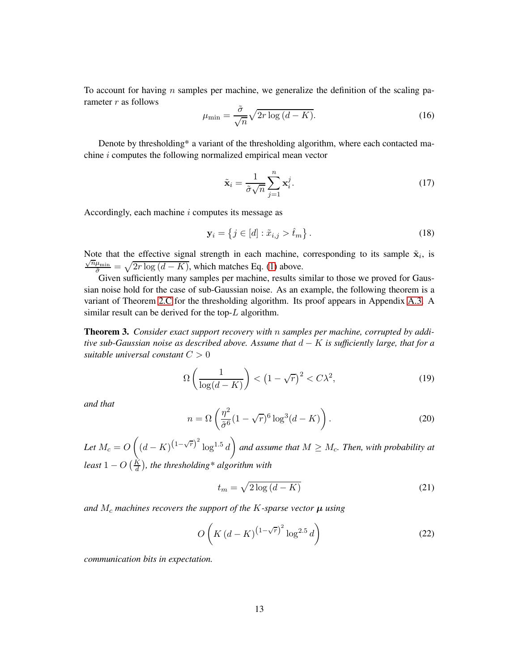To account for having n samples per machine, we generalize the definition of the scaling parameter  $r$  as follows

<span id="page-12-3"></span>
$$
\mu_{\min} = \frac{\tilde{\sigma}}{\sqrt{n}} \sqrt{2r \log \left(d - K\right)}.
$$
\n(16)

Denote by thresholding\* a variant of the thresholding algorithm, where each contacted machine i computes the following normalized empirical mean vector

$$
\tilde{\mathbf{x}}_i = \frac{1}{\tilde{\sigma}\sqrt{n}} \sum_{j=1}^n \mathbf{x}_i^j.
$$
 (17)

Accordingly, each machine i computes its message as

$$
\mathbf{y}_i = \left\{ j \in [d] : \tilde{x}_{i,j} > \hat{t}_m \right\}.
$$
\n(18)

Note that the effective signal strength in each machine, corresponding to its sample  $\tilde{\mathbf{x}}_i$ , is  $\frac{\sqrt{n}\mu_{\min}}{\tilde{\sigma}} = \sqrt{2r \log (d - K)}$ , which matches Eq. [\(1\)](#page-4-2) above.

Given sufficiently many samples per machine, results similar to those we proved for Gaussian noise hold for the case of sub-Gaussian noise. As an example, the following theorem is a variant of Theorem [2.C](#page-12-0) for the thresholding algorithm. Its proof appears in Appendix [A.3.](#page-27-0) A similar result can be derived for the top-L algorithm.

<span id="page-12-0"></span>Theorem 3. *Consider exact support recovery with* n *samples per machine, corrupted by additive sub-Gaussian noise as described above. Assume that* d − K *is sufficiently large, that for a suitable universal constant* C > 0

<span id="page-12-2"></span>
$$
\Omega\left(\frac{1}{\log(d-K)}\right) < \left(1 - \sqrt{r}\right)^2 < C\lambda^2,\tag{19}
$$

*and that*

<span id="page-12-1"></span>
$$
n = \Omega\left(\frac{\eta^2}{\tilde{\sigma}^6}(1 - \sqrt{r})^6 \log^3(d - K)\right). \tag{20}
$$

Let  $M_c = O\left((d-K)^{(1-\sqrt{r})^2}\log^{1.5}d\right)$  and assume that  $M \geq M_c$ . Then, with probability at least  $1 - O\left(\frac{K}{d}\right)$ , the thresholding\* algorithm with

<span id="page-12-4"></span>
$$
t_m = \sqrt{2\log\left(d - K\right)}\tag{21}
$$

*and*  $M_c$  *machines recovers the support of the* K-sparse vector  $\mu$  *using* 

<span id="page-12-5"></span>
$$
O\left(K\left(d-K\right)^{\left(1-\sqrt{r}\right)^2}\log^{2.5}d\right)
$$
\n(22)

*communication bits in expectation.*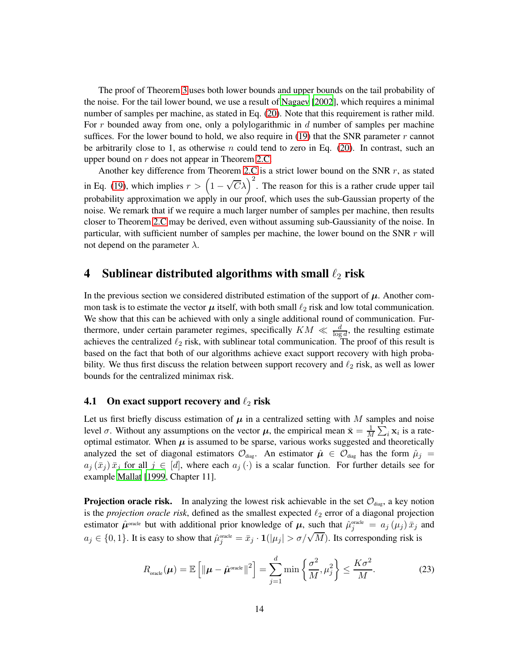The proof of Theorem [3](#page-12-0) uses both lower bounds and upper bounds on the tail probability of the noise. For the tail lower bound, we use a result of [Nagaev \[2002](#page-35-13)], which requires a minimal number of samples per machine, as stated in Eq. [\(20\)](#page-12-1). Note that this requirement is rather mild. For r bounded away from one, only a polylogarithmic in  $d$  number of samples per machine suffices. For the lower bound to hold, we also require in [\(19\)](#page-12-2) that the SNR parameter  $r$  cannot be arbitrarily close to 1, as otherwise n could tend to zero in Eq.  $(20)$ . In contrast, such an upper bound on r does not appear in Theorem [2.C.](#page-12-0)

Another key difference from Theorem [2.C](#page-12-0) is a strict lower bound on the SNR  $r$ , as stated in Eq. [\(19\)](#page-12-2), which implies  $r > (1 - \sqrt{C}\lambda)^2$ . The reason for this is a rather crude upper tail probability approximation we apply in our proof, which uses the sub-Gaussian property of the noise. We remark that if we require a much larger number of samples per machine, then results closer to Theorem [2.C](#page-12-0) may be derived, even without assuming sub-Gaussianity of the noise. In particular, with sufficient number of samples per machine, the lower bound on the SNR r will not depend on the parameter  $\lambda$ .

# <span id="page-13-0"></span>4 Sublinear distributed algorithms with small  $\ell_2$  risk

In the previous section we considered distributed estimation of the support of  $\mu$ . Another common task is to estimate the vector  $\mu$  itself, with both small  $\ell_2$  risk and low total communication. We show that this can be achieved with only a single additional round of communication. Furthermore, under certain parameter regimes, specifically  $KM \ll \frac{d}{\log d}$ , the resulting estimate achieves the centralized  $\ell_2$  risk, with sublinear total communication. The proof of this result is based on the fact that both of our algorithms achieve exact support recovery with high probability. We thus first discuss the relation between support recovery and  $\ell_2$  risk, as well as lower bounds for the centralized minimax risk.

#### 4.1 On exact support recovery and  $\ell_2$  risk

Let us first briefly discuss estimation of  $\mu$  in a centralized setting with M samples and noise level  $\sigma$ . Without any assumptions on the vector  $\mu$ , the empirical mean  $\bar{x} = \frac{1}{\lambda}$  $\frac{1}{M} \sum_i \mathbf{x}_i$  is a rateoptimal estimator. When  $\mu$  is assumed to be sparse, various works suggested and theoretically analyzed the set of diagonal estimators  $\mathcal{O}_{diag}$ . An estimator  $\hat{\mu} \in \mathcal{O}_{diag}$  has the form  $\hat{\mu}_j =$  $a_j(\bar{x}_j) \bar{x}_j$  for all  $j \in [d]$ , where each  $a_j(\cdot)$  is a scalar function. For further details see for example [Mallat](#page-34-11) [\[1999](#page-34-11), Chapter 11].

**Projection oracle risk.** In analyzing the lowest risk achievable in the set  $\mathcal{O}_{diag}$ , a key notion is the *projection oracle risk*, defined as the smallest expected  $\ell_2$  error of a diagonal projection estimator  $\hat{\mu}$ <sup>oracle</sup> but with additional prior knowledge of  $\mu$ , such that  $\hat{\mu}^{\text{oracle}}_j = a_j(\mu_j) \bar{x}_j$  and  $a_j \in \{0,1\}$ . It is easy to show that  $\hat{\mu}_j^{\text{oracle}} = \bar{x}_j \cdot \mathbf{1}(|\mu_j| > \sigma/\sqrt{M})$ . Its corresponding risk is

<span id="page-13-1"></span>
$$
R_{\text{oracle}}(\boldsymbol{\mu}) = \mathbb{E}\left[\|\boldsymbol{\mu} - \hat{\boldsymbol{\mu}}^{\text{oracle}}\|^2\right] = \sum_{j=1}^d \min\left\{\frac{\sigma^2}{M}, \mu_j^2\right\} \le \frac{K\sigma^2}{M}.
$$
 (23)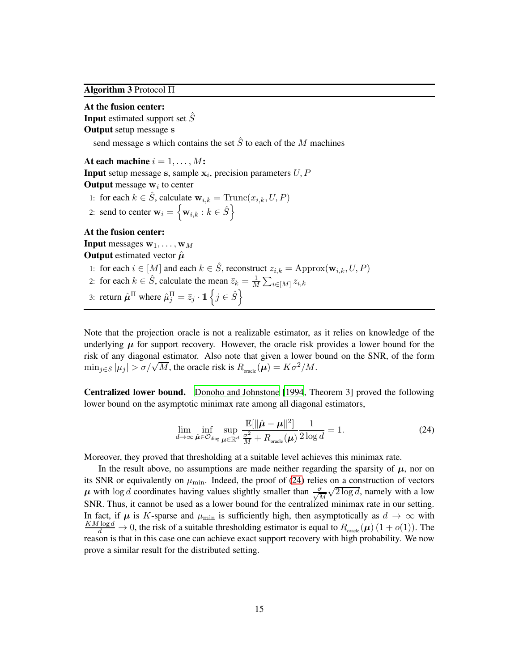<span id="page-14-1"></span>Algorithm 3 Protocol Π

At the fusion center: **Input** estimated support set  $S$ Output setup message s send message s which contains the set  $\hat{S}$  to each of the M machines At each machine  $i = 1, \ldots, M$ : **Input** setup message s, sample  $x_i$ , precision parameters  $U, P$ **Output** message  $w_i$  to center 1: for each  $k \in \hat{S}$ , calculate  $\mathbf{w}_{i,k} = \text{Trunc}(x_{i,k}, U, P)$ 2: send to center  $\mathbf{w}_i = \left\{ \mathbf{w}_{i,k} : k \in \hat{S} \right\}$ At the fusion center: **Input** messages  $w_1, \ldots, w_M$ **Output** estimated vector  $\hat{\mu}$ 1: for each  $i \in [M]$  and each  $k \in \hat{S}$ , reconstruct  $z_{i,k} = \text{Approx}(\mathbf{w}_{i,k}, U, P)$ 2: for each  $k \in \hat{S}$ , calculate the mean  $\bar{z}_k = \frac{1}{M}$  $\frac{1}{M}\sum_{i\in [M]}z_{i,k}$ 3: return  $\hat{\mu}^{\Pi}$  where  $\hat{\mu}_j^{\Pi} = \bar{z}_j \cdot \mathbb{1} \left\{ j \in \hat{S} \right\}$ 

Note that the projection oracle is not a realizable estimator, as it relies on knowledge of the underlying  $\mu$  for support recovery. However, the oracle risk provides a lower bound for the risk of any diagonal estimator. Also note that given a lower bound on the SNR, of the form  $\min_{j \in S} |\mu_j| > \sigma/\sqrt{M}$ , the oracle risk is  $R_{\text{oracle}}(\mu) = K\sigma^2/M$ .

Centralized lower bound. [Donoho and Johnstone \[1994,](#page-34-12) Theorem 3] proved the following lower bound on the asymptotic minimax rate among all diagonal estimators,

<span id="page-14-0"></span>
$$
\lim_{d \to \infty} \inf_{\hat{\boldsymbol{\mu}} \in \mathcal{O}_{\text{diag}}} \sup_{\boldsymbol{\mu} \in \mathbb{R}^d} \frac{\mathbb{E}[\|\hat{\boldsymbol{\mu}} - \boldsymbol{\mu}\|^2]}{\frac{\sigma^2}{M} + R_{\text{oracle}}(\boldsymbol{\mu})} \frac{1}{2 \log d} = 1.
$$
\n(24)

Moreover, they proved that thresholding at a suitable level achieves this minimax rate.

In the result above, no assumptions are made neither regarding the sparsity of  $\mu$ , nor on its SNR or equivalently on  $\mu_{\min}$ . Indeed, the proof of [\(24\)](#page-14-0) relies on a construction of vectors  $\mu$  with log *d* coordinates having values slightly smaller than  $\frac{\sigma}{\sqrt{M}}$  $\sqrt{2 \log d}$ , namely with a low SNR. Thus, it cannot be used as a lower bound for the centralized minimax rate in our setting. In fact, if  $\mu$  is K-sparse and  $\mu_{\min}$  is sufficiently high, then asymptotically as  $d \to \infty$  with  $\frac{KM \log d}{d} \to 0$ , the risk of a suitable thresholding estimator is equal to  $R_{\text{oracle}}(\mu) (1 + o(1))$ . The reason is that in this case one can achieve exact support recovery with high probability. We now prove a similar result for the distributed setting.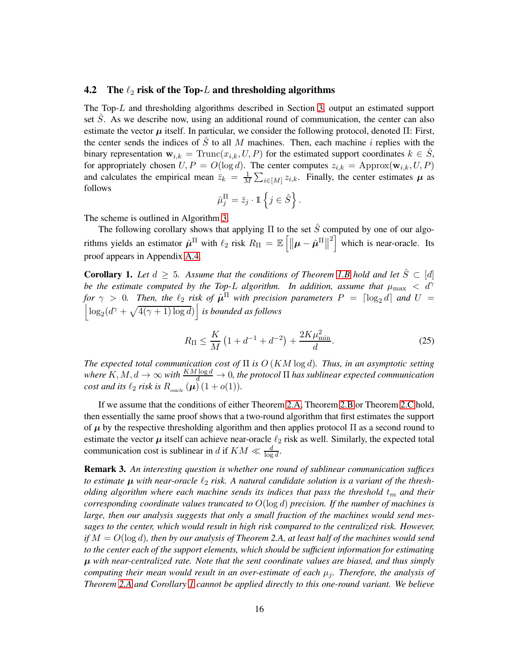#### 4.2 The  $\ell_2$  risk of the Top-L and thresholding algorithms

The Top-L and thresholding algorithms described in Section [3,](#page-4-0) output an estimated support set S. As we describe now, using an additional round of communication, the center can also estimate the vector  $\mu$  itself. In particular, we consider the following protocol, denoted  $\Pi$ : First, the center sends the indices of  $\hat{S}$  to all M machines. Then, each machine i replies with the binary representation  $\mathbf{w}_{i,k} = \text{Trunc}(x_{i,k}, U, P)$  for the estimated support coordinates  $k \in \hat{S}$ , for appropriately chosen  $U, P = O(\log d)$ . The center computes  $z_{i,k} = \text{Approx}(\mathbf{w}_{i,k}, U, P)$ and calculates the empirical mean  $\bar{z}_k = \frac{1}{M}$  $\frac{1}{M} \sum_{i \in [M]} z_{i,k}$ . Finally, the center estimates  $\mu$  as follows

$$
\hat{\mu}_j^{\Pi} = \bar{z}_j \cdot \mathbb{1} \left\{ j \in \hat{S} \right\}.
$$

The scheme is outlined in Algorithm [3.](#page-14-1)

The following corollary shows that applying  $\Pi$  to the set  $\hat{S}$  computed by one of our algorithms yields an estimator  $\hat{\mu}^{\Pi}$  with  $\ell_2$  risk  $R_{\Pi} = \mathbb{E} \left[ \|\boldsymbol{\mu} - \hat{\boldsymbol{\mu}}^{\Pi}\| \right]$  $\left[2\right]$  which is near-oracle. Its proof appears in Appendix [A.4.](#page-29-0)

<span id="page-15-0"></span>**Corollary 1.** Let  $d \geq 5$ . Assume that the conditions of Theorem [1.B](#page-10-0) hold and let  $\hat{S} \subset [d]$ *be the estimate computed by the Top-L algorithm. In addition, assume that*  $\mu_{\text{max}} < d^{\gamma}$ *for*  $\gamma > 0$ . Then, the  $\ell_2$  *risk of*  $\hat{\mu}^{\Pi}$  *with precision parameters*  $P = \lceil \log_2 d \rceil$  *and*  $U =$  $\left| \log_2(d^{\gamma} + \sqrt{4(\gamma + 1) \log d}) \right|$  *is bounded as follows* 

$$
R_{\Pi} \le \frac{K}{M} \left( 1 + d^{-1} + d^{-2} \right) + \frac{2K\mu_{\min}^2}{d}.
$$
 (25)

*The expected total communication cost of* Π *is* O (KM log d)*. Thus, in an asymptotic setting where*  $K, M, d \to \infty$  *with*  $\frac{KM \log d}{d} \to 0$ , the protocol  $\Pi$  has sublinear expected communication *cost and its*  $\ell_2$  *risk is*  $R_{\text{oracle}}\left(\boldsymbol{\mu}\right)(1+o(1)).$ 

If we assume that the conditions of either Theorem [2.A,](#page-10-1) Theorem [2.B](#page-10-0) or Theorem [2.C](#page-12-0) hold, then essentially the same proof shows that a two-round algorithm that first estimates the support of  $\mu$  by the respective thresholding algorithm and then applies protocol  $\Pi$  as a second round to estimate the vector  $\mu$  itself can achieve near-oracle  $\ell_2$  risk as well. Similarly, the expected total communication cost is sublinear in d if  $KM \ll \frac{d}{\log d}$ .

Remark 3. *An interesting question is whether one round of sublinear communication suffices to estimate*  $\mu$  *with near-oracle*  $\ell_2$  *risk. A natural candidate solution is a variant of the thresholding algorithm where each machine sends its indices that pass the threshold*  $t<sub>m</sub>$  *and their corresponding coordinate values truncated to* O(log d) *precision. If the number of machines is large, then our analysis suggests that only a small fraction of the machines would send messages to the center, which would result in high risk compared to the centralized risk. However, if* M = O(log d)*, then by our analysis of Theorem 2.A, at least half of the machines would send to the center each of the support elements, which should be sufficient information for estimating* µ *with near-centralized rate. Note that the sent coordinate values are biased, and thus simply computing their mean would result in an over-estimate of each*  $\mu_j$ *. Therefore, the analysis of Theorem [2.A](#page-10-1) and Corollary [1](#page-15-0) cannot be applied directly to this one-round variant. We believe*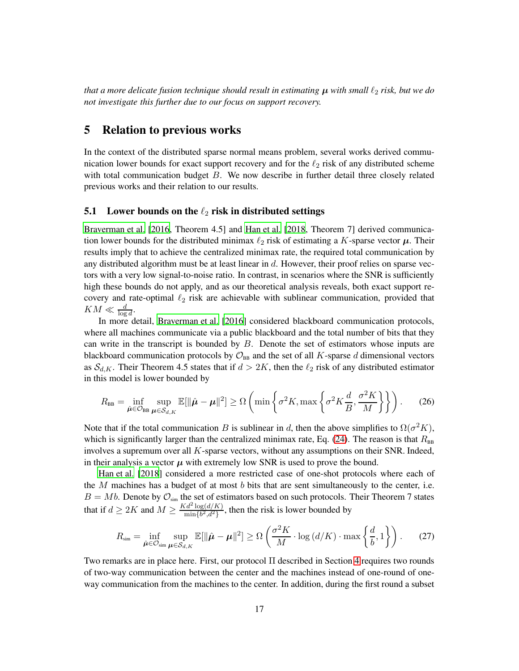*that a more delicate fusion technique should result in estimating*  $\mu$  *with small*  $\ell_2$  *risk, but we do not investigate this further due to our focus on support recovery.*

# <span id="page-16-0"></span>5 Relation to previous works

In the context of the distributed sparse normal means problem, several works derived communication lower bounds for exact support recovery and for the  $\ell_2$  risk of any distributed scheme with total communication budget B. We now describe in further detail three closely related previous works and their relation to our results.

#### 5.1 Lower bounds on the  $\ell_2$  risk in distributed settings

[Braverman et al. \[2016](#page-34-8), Theorem 4.5] and [Han et al.](#page-34-10) [\[2018](#page-34-10), Theorem 7] derived communication lower bounds for the distributed minimax  $\ell_2$  risk of estimating a K-sparse vector  $\mu$ . Their results imply that to achieve the centralized minimax rate, the required total communication by any distributed algorithm must be at least linear in d. However, their proof relies on sparse vectors with a very low signal-to-noise ratio. In contrast, in scenarios where the SNR is sufficiently high these bounds do not apply, and as our theoretical analysis reveals, both exact support recovery and rate-optimal  $\ell_2$  risk are achievable with sublinear communication, provided that  $KM \ll \frac{d}{\log d}$ .

In more detail, [Braverman et al. \[2016](#page-34-8)] considered blackboard communication protocols, where all machines communicate via a public blackboard and the total number of bits that they can write in the transcript is bounded by  $B$ . Denote the set of estimators whose inputs are blackboard communication protocols by  $\mathcal{O}_{\text{BB}}$  and the set of all K-sparse d dimensional vectors as  $S_{d,K}$ . Their Theorem 4.5 states that if  $d > 2K$ , then the  $\ell_2$  risk of any distributed estimator in this model is lower bounded by

$$
R_{\text{BB}} = \inf_{\hat{\mu} \in \mathcal{O}_{\text{BB}}} \sup_{\mu \in \mathcal{S}_{d,K}} \mathbb{E}[\|\hat{\mu} - \mu\|^2] \ge \Omega\left(\min\left\{\sigma^2 K, \max\left\{\sigma^2 K \frac{d}{B}, \frac{\sigma^2 K}{M}\right\}\right\}\right). \tag{26}
$$

in l

 $\mathbb{R}^2$ 

Note that if the total communication B is sublinear in d, then the above simplifies to  $\Omega(\sigma^2 K)$ , which is significantly larger than the centralized minimax rate, Eq. [\(24\)](#page-14-0). The reason is that  $R_{\text{BB}}$ involves a supremum over all K-sparse vectors, without any assumptions on their SNR. Indeed, in their analysis a vector  $\mu$  with extremely low SNR is used to prove the bound.

[Han et al. \[2018\]](#page-34-10) considered a more restricted case of one-shot protocols where each of the  $M$  machines has a budget of at most  $b$  bits that are sent simultaneously to the center, i.e.  $B = Mb$ . Denote by  $\mathcal{O}_{sim}$  the set of estimators based on such protocols. Their Theorem 7 states that if  $d \ge 2K$  and  $M \ge \frac{Kd^2 \log(d/K)}{\min\{b^2,d^2\}}$  $\frac{a^2 \log(a/R)}{\min\{b^2, d^2\}}$ , then the risk is lower bounded by

<span id="page-16-1"></span>
$$
R_{\text{sim}} = \inf_{\hat{\boldsymbol{\mu}} \in \mathcal{O}_{\text{sim}}} \sup_{\boldsymbol{\mu} \in \mathcal{S}_{d,K}} \mathbb{E}[\|\hat{\boldsymbol{\mu}} - \boldsymbol{\mu}\|^2] \ge \Omega\left(\frac{\sigma^2 K}{M} \cdot \log\left(\frac{d}{K}\right) \cdot \max\left\{\frac{d}{b}, 1\right\}\right). \tag{27}
$$

Two remarks are in place here. First, our protocol Π described in Section [4](#page-13-0) requires two rounds of two-way communication between the center and the machines instead of one-round of oneway communication from the machines to the center. In addition, during the first round a subset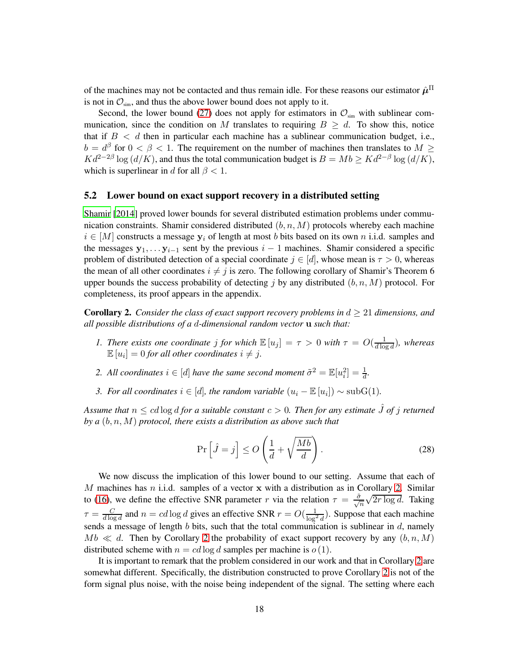of the machines may not be contacted and thus remain idle. For these reasons our estimator  $\hat{\mu}^\Pi$ is not in  $\mathcal{O}_{sim}$ , and thus the above lower bound does not apply to it.

Second, the lower bound [\(27\)](#page-16-1) does not apply for estimators in  $\mathcal{O}_{sim}$  with sublinear communication, since the condition on M translates to requiring  $B \geq d$ . To show this, notice that if  $B < d$  then in particular each machine has a sublinear communication budget, i.e.,  $b = d^{\beta}$  for  $0 < \beta < 1$ . The requirement on the number of machines then translates to  $M \ge$  $K d^{2-2\beta} \log \left( d/K \right)$ , and thus the total communication budget is  $B = Mb \geq K d^{2-\beta} \log \left( d/K \right)$ , which is superlinear in d for all  $\beta$  < 1.

#### 5.2 Lower bound on exact support recovery in a distributed setting

[Shamir \[2014\]](#page-35-11) proved lower bounds for several distributed estimation problems under communication constraints. Shamir considered distributed  $(b, n, M)$  protocols whereby each machine  $i \in [M]$  constructs a message  $y_i$  of length at most b bits based on its own n i.i.d. samples and the messages  $y_1, \ldots, y_{i-1}$  sent by the previous  $i-1$  machines. Shamir considered a specific problem of distributed detection of a special coordinate  $j \in [d]$ , whose mean is  $\tau > 0$ , whereas the mean of all other coordinates  $i \neq j$  is zero. The following corollary of Shamir's Theorem 6 upper bounds the success probability of detecting j by any distributed  $(b, n, M)$  protocol. For completeness, its proof appears in the appendix.

<span id="page-17-0"></span>**Corollary 2.** *Consider the class of exact support recovery problems in*  $d \geq 21$  *dimensions, and all possible distributions of a* d*-dimensional random vector* u *such that:*

- *1. There exists one coordinate j for which*  $\mathbb{E}[u_j] = \tau > 0$  *with*  $\tau = O(\frac{1}{d \log n})$  $\frac{1}{d \log d}$ ), whereas  $\mathbb{E}\left[u_i\right] = 0$  for all other coordinates  $i \neq j$ .
- 2. All coordinates  $i \in [d]$  have the same second moment  $\tilde{\sigma}^2 = \mathbb{E}[u_i^2] = \frac{1}{d}$ .
- *3. For all coordinates*  $i \in [d]$ *, the random variable*  $(u_i \mathbb{E}[u_i]) \sim \text{subG}(1)$ *.*

*Assume that*  $n \leq cd \log d$  *for a suitable constant*  $c > 0$ *. Then for any estimate*  $\hat{J}$  *of*  $j$  *returned by a* (b, n, M) *protocol, there exists a distribution as above such that*

$$
\Pr\left[\hat{J} = j\right] \le O\left(\frac{1}{d} + \sqrt{\frac{Mb}{d}}\right). \tag{28}
$$

We now discuss the implication of this lower bound to our setting. Assume that each of M machines has  $n$  i.i.d. samples of a vector  $x$  with a distribution as in Corollary [2.](#page-17-0) Similar to [\(16\)](#page-12-3), we define the effective SNR parameter r via the relation  $\tau = \frac{\tilde{\sigma}}{\sqrt{n}}$  $\sqrt{2r \log d}$ . Taking  $\tau = \frac{C}{d \log T}$  $\frac{C}{d \log d}$  and  $n = cd \log d$  gives an effective SNR  $r = O(\frac{1}{\log^2 d})$ . Suppose that each machine sends a message of length  $b$  bits, such that the total communication is sublinear in  $d$ , namely  $Mb \ll d$ . Then by Corollary [2](#page-17-0) the probability of exact support recovery by any  $(b, n, M)$ distributed scheme with  $n = cd \log d$  samples per machine is  $o(1)$ .

It is important to remark that the problem considered in our work and that in Corollary [2](#page-17-0) are somewhat different. Specifically, the distribution constructed to prove Corollary [2](#page-17-0) is not of the form signal plus noise, with the noise being independent of the signal. The setting where each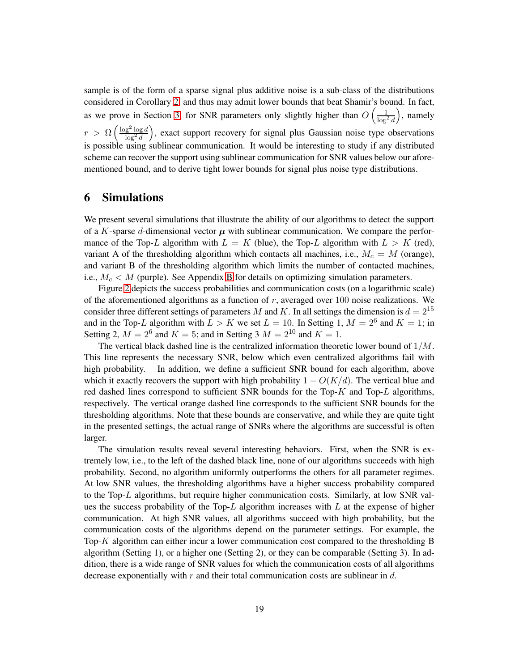sample is of the form of a sparse signal plus additive noise is a sub-class of the distributions considered in Corollary [2,](#page-17-0) and thus may admit lower bounds that beat Shamir's bound. In fact, as we prove in Section [3,](#page-4-0) for SNR parameters only slightly higher than  $O\left(\frac{1}{\log^2 d}\right)$  , namely  $r > \Omega \left( \frac{\log^2 \log d}{\log^2 d} \right)$  $\log^2 d$  , exact support recovery for signal plus Gaussian noise type observations is possible using sublinear communication. It would be interesting to study if any distributed scheme can recover the support using sublinear communication for SNR values below our aforementioned bound, and to derive tight lower bounds for signal plus noise type distributions.

# <span id="page-18-0"></span>6 Simulations

We present several simulations that illustrate the ability of our algorithms to detect the support of a K-sparse d-dimensional vector  $\mu$  with sublinear communication. We compare the performance of the Top-L algorithm with  $L = K$  (blue), the Top-L algorithm with  $L > K$  (red), variant A of the thresholding algorithm which contacts all machines, i.e.,  $M_c = M$  (orange), and variant B of the thresholding algorithm which limits the number of contacted machines, i.e.,  $M_c < M$  (purple). See Appendix [B](#page-32-0) for details on optimizing simulation parameters.

Figure [2](#page-19-0) depicts the success probabilities and communication costs (on a logarithmic scale) of the aforementioned algorithms as a function of  $r$ , averaged over 100 noise realizations. We consider three different settings of parameters M and K. In all settings the dimension is  $d = 2^{15}$ and in the Top-L algorithm with  $L > K$  we set  $L = 10$ . In Setting 1,  $M = 2^6$  and  $K = 1$ ; in Setting 2,  $M = 2^6$  and  $K = 5$ ; and in Setting 3  $M = 2^{10}$  and  $K = 1$ .

The vertical black dashed line is the centralized information theoretic lower bound of  $1/M$ . This line represents the necessary SNR, below which even centralized algorithms fail with high probability. In addition, we define a sufficient SNR bound for each algorithm, above which it exactly recovers the support with high probability  $1 - O(K/d)$ . The vertical blue and red dashed lines correspond to sufficient SNR bounds for the Top- $K$  and Top- $L$  algorithms, respectively. The vertical orange dashed line corresponds to the sufficient SNR bounds for the thresholding algorithms. Note that these bounds are conservative, and while they are quite tight in the presented settings, the actual range of SNRs where the algorithms are successful is often larger.

The simulation results reveal several interesting behaviors. First, when the SNR is extremely low, i.e., to the left of the dashed black line, none of our algorithms succeeds with high probability. Second, no algorithm uniformly outperforms the others for all parameter regimes. At low SNR values, the thresholding algorithms have a higher success probability compared to the Top-L algorithms, but require higher communication costs. Similarly, at low SNR values the success probability of the Top- $L$  algorithm increases with  $L$  at the expense of higher communication. At high SNR values, all algorithms succeed with high probability, but the communication costs of the algorithms depend on the parameter settings. For example, the Top-K algorithm can either incur a lower communication cost compared to the thresholding B algorithm (Setting 1), or a higher one (Setting 2), or they can be comparable (Setting 3). In addition, there is a wide range of SNR values for which the communication costs of all algorithms decrease exponentially with  $r$  and their total communication costs are sublinear in  $d$ .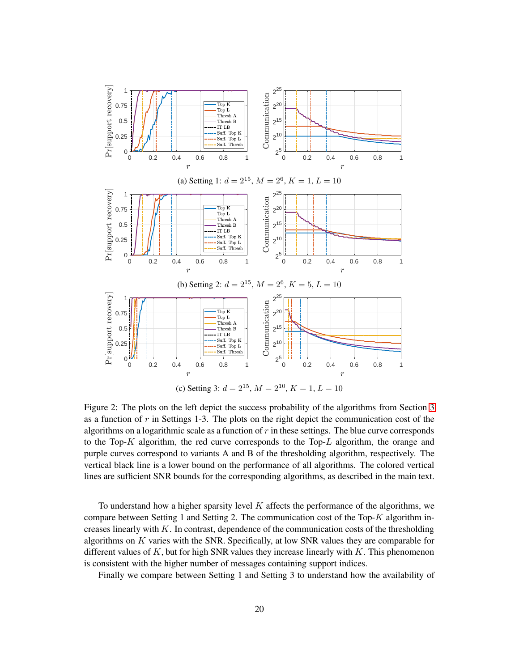<span id="page-19-0"></span>

Figure 2: The plots on the left depict the success probability of the algorithms from Section [3](#page-4-0) as a function of  $r$  in Settings 1-3. The plots on the right depict the communication cost of the algorithms on a logarithmic scale as a function of r in these settings. The blue curve corresponds to the Top- $K$  algorithm, the red curve corresponds to the Top- $L$  algorithm, the orange and purple curves correspond to variants A and B of the thresholding algorithm, respectively. The vertical black line is a lower bound on the performance of all algorithms. The colored vertical lines are sufficient SNR bounds for the corresponding algorithms, as described in the main text.

To understand how a higher sparsity level  $K$  affects the performance of the algorithms, we compare between Setting 1 and Setting 2. The communication cost of the Top- $K$  algorithm increases linearly with  $K$ . In contrast, dependence of the communication costs of the thresholding algorithms on  $K$  varies with the SNR. Specifically, at low SNR values they are comparable for different values of K, but for high SNR values they increase linearly with K. This phenomenon is consistent with the higher number of messages containing support indices.

Finally we compare between Setting 1 and Setting 3 to understand how the availability of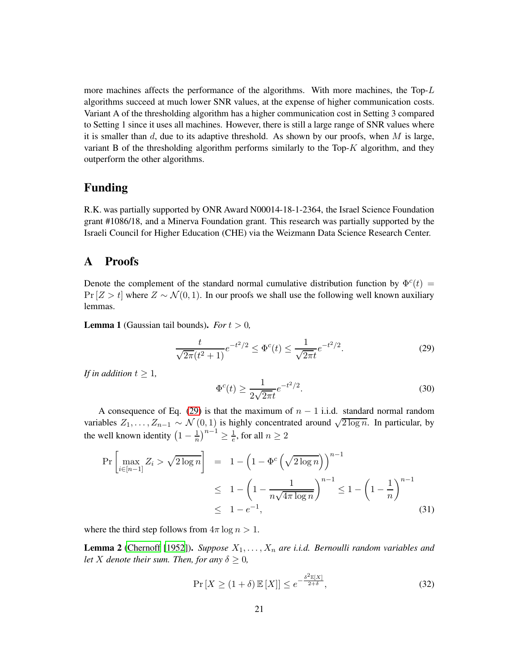more machines affects the performance of the algorithms. With more machines, the  $Top-L$ algorithms succeed at much lower SNR values, at the expense of higher communication costs. Variant A of the thresholding algorithm has a higher communication cost in Setting 3 compared to Setting 1 since it uses all machines. However, there is still a large range of SNR values where it is smaller than  $d$ , due to its adaptive threshold. As shown by our proofs, when  $M$  is large, variant B of the thresholding algorithm performs similarly to the Top-K algorithm, and they outperform the other algorithms.

# Funding

R.K. was partially supported by ONR Award N00014-18-1-2364, the Israel Science Foundation grant #1086/18, and a Minerva Foundation grant. This research was partially supported by the Israeli Council for Higher Education (CHE) via the Weizmann Data Science Research Center.

# A Proofs

Denote the complement of the standard normal cumulative distribution function by  $\Phi^c(t)$  =  $Pr[Z > t]$  where  $Z \sim \mathcal{N}(0, 1)$ . In our proofs we shall use the following well known auxiliary lemmas.

<span id="page-20-4"></span>**Lemma 1** (Gaussian tail bounds). *For*  $t > 0$ ,

<span id="page-20-0"></span>
$$
\frac{t}{\sqrt{2\pi}(t^2+1)}e^{-t^2/2} \le \Phi^c(t) \le \frac{1}{\sqrt{2\pi}t}e^{-t^2/2}.\tag{29}
$$

*If in addition*  $t \geq 1$ *,* 

<span id="page-20-3"></span>
$$
\Phi^{c}(t) \ge \frac{1}{2\sqrt{2\pi}t} e^{-t^{2}/2}.
$$
\n(30)

A consequence of Eq. [\(29\)](#page-20-0) is that the maximum of  $n - 1$  i.i.d. standard normal random variables  $Z_1, \ldots, Z_{n-1} \sim \mathcal{N}(0, 1)$  is highly concentrated around  $\sqrt{2 \log n}$ . In particular, by the well known identity  $\left(1 - \frac{1}{n}\right)^{n-1} \geq \frac{1}{e}$ , for all  $n \geq 2$ 

<span id="page-20-2"></span>
$$
\Pr\left[\max_{i \in [n-1]} Z_i > \sqrt{2 \log n}\right] = 1 - \left(1 - \Phi^c \left(\sqrt{2 \log n}\right)\right)^{n-1} \le 1 - \left(1 - \frac{1}{n\sqrt{4\pi \log n}}\right)^{n-1} \le 1 - \left(1 - \frac{1}{n}\right)^{n-1} \le 1 - e^{-1},\tag{31}
$$

where the third step follows from  $4\pi \log n > 1$ .

**Lemma 2** [\(Chernoff \[1952](#page-34-13)]). *Suppose*  $X_1, \ldots, X_n$  *are i.i.d. Bernoulli random variables and let X denote their sum. Then, for any*  $\delta \geq 0$ *,* 

<span id="page-20-1"></span>
$$
\Pr\left[X \ge (1+\delta) \mathbb{E}\left[X\right]\right] \le e^{-\frac{\delta^2 \mathbb{E}\left[X\right]}{2+\delta}},\tag{32}
$$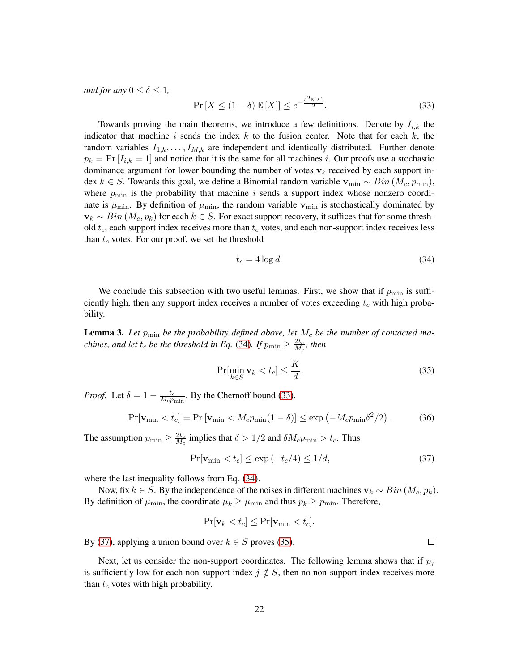*and for any*  $0 \leq \delta \leq 1$ ,

<span id="page-21-1"></span>
$$
\Pr\left[X \le (1 - \delta) \mathbb{E}\left[X\right]\right] \le e^{-\frac{\delta^2 \mathbb{E}\left[X\right]}{2}}.\tag{33}
$$

Towards proving the main theorems, we introduce a few definitions. Denote by  $I_{i,k}$  the indicator that machine i sends the index  $k$  to the fusion center. Note that for each  $k$ , the random variables  $I_{1,k}, \ldots, I_{M,k}$  are independent and identically distributed. Further denote  $p_k = \Pr[I_{i,k} = 1]$  and notice that it is the same for all machines i. Our proofs use a stochastic dominance argument for lower bounding the number of votes  $v_k$  received by each support index k ∈ S. Towards this goal, we define a Binomial random variable  $\mathbf{v}_{\min} \sim Bin(M_c, p_{\min})$ , where  $p_{\text{min}}$  is the probability that machine i sends a support index whose nonzero coordinate is  $\mu_{\min}$ . By definition of  $\mu_{\min}$ , the random variable  $v_{\min}$  is stochastically dominated by  $v_k \sim Bin(M_c, p_k)$  for each  $k \in S$ . For exact support recovery, it suffices that for some threshold  $t_c$ , each support index receives more than  $t_c$  votes, and each non-support index receives less than  $t_c$  votes. For our proof, we set the threshold

<span id="page-21-0"></span>
$$
t_c = 4\log d. \tag{34}
$$

We conclude this subsection with two useful lemmas. First, we show that if  $p_{\min}$  is sufficiently high, then any support index receives a number of votes exceeding  $t_c$  with high probability.

<span id="page-21-4"></span>**Lemma 3.** Let  $p_{\min}$  be the probability defined above, let  $M_c$  be the number of contacted ma*chines, and let*  $t_c$  *be the threshold in Eq.* [\(34\)](#page-21-0). If  $p_{\min} \geq \frac{2t_c}{M_c}$  $\frac{2t_c}{M_c}$ , then

<span id="page-21-3"></span>
$$
\Pr[\min_{k \in S} \mathbf{v}_k < t_c] \le \frac{K}{d}.\tag{35}
$$

*Proof.* Let  $\delta = 1 - \frac{t_c}{M_c p_p}$  $\frac{t_c}{M_c p_{\text{min}}}$ . By the Chernoff bound [\(33\)](#page-21-1),

$$
\Pr[\mathbf{v}_{\min} < t_c] = \Pr[\mathbf{v}_{\min} < M_c p_{\min}(1 - \delta)] \le \exp\left(-M_c p_{\min} \delta^2 / 2\right). \tag{36}
$$

The assumption  $p_{\min} \geq \frac{2t_c}{M_c}$  $\frac{2t_c}{M_c}$  implies that  $\delta > 1/2$  and  $\delta M_c p_{\text{min}} > t_c$ . Thus

<span id="page-21-2"></span>
$$
\Pr[\mathbf{v}_{\min} < t_c] \le \exp\left(-t_c/4\right) \le 1/d,\tag{37}
$$

where the last inequality follows from Eq. [\(34\)](#page-21-0).

Now, fix k ∈ S. By the independence of the noises in different machines  $v_k \sim Bin(M_c, p_k)$ . By definition of  $\mu_{\min}$ , the coordinate  $\mu_k \ge \mu_{\min}$  and thus  $p_k \ge p_{\min}$ . Therefore,

$$
\Pr[\mathbf{v}_k < t_c] \le \Pr[\mathbf{v}_{\min} < t_c].
$$

By [\(37\)](#page-21-2), applying a union bound over  $k \in S$  proves [\(35\)](#page-21-3).

Next, let us consider the non-support coordinates. The following lemma shows that if  $p_j$ is sufficiently low for each non-support index  $j \notin S$ , then no non-support index receives more than  $t_c$  votes with high probability.

 $\Box$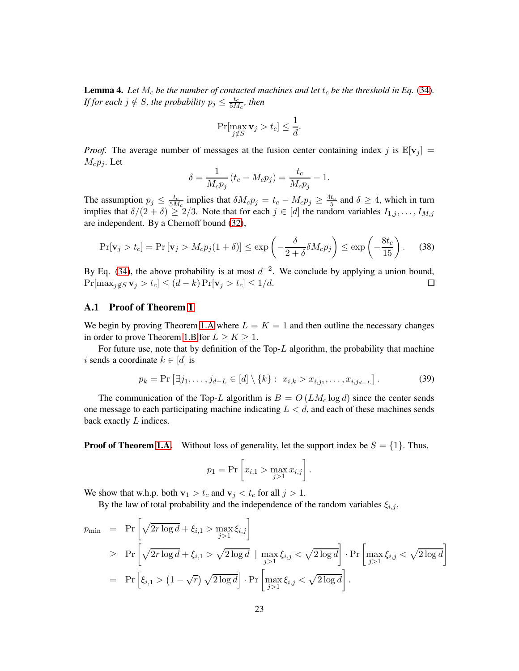<span id="page-22-1"></span>**Lemma 4.** Let  $M_c$  be the number of contacted machines and let  $t_c$  be the threshold in Eq. [\(34\)](#page-21-0). *If for each*  $j \notin S$ *, the probability*  $p_j \leq \frac{t_c}{5M}$  $\frac{t_c}{5M_c}$ , then

$$
\Pr[\max_{j \notin S} \mathbf{v}_j > t_c] \le \frac{1}{d}.
$$

*Proof.* The average number of messages at the fusion center containing index j is  $\mathbb{E}[v_j]$  =  $M_c p_j$ . Let

$$
\delta = \frac{1}{M_c p_j} (t_c - M_c p_j) = \frac{t_c}{M_c p_j} - 1.
$$

The assumption  $p_j \n\leq \frac{t_c}{5M}$  $\frac{t_c}{5M_c}$  implies that  $\delta M_c p_j = t_c - M_c p_j \ge \frac{4t_c}{5}$  and  $\delta \ge 4$ , which in turn implies that  $\delta/(2+\delta) \geq 2/3$ . Note that for each  $j \in [d]$  the random variables  $I_{1,j}, \ldots, I_{M,j}$ are independent. By a Chernoff bound [\(32\)](#page-20-1),

$$
\Pr[\mathbf{v}_j > t_c] = \Pr[\mathbf{v}_j > M_c p_j (1 + \delta)] \le \exp\left(-\frac{\delta}{2 + \delta} \delta M_c p_j\right) \le \exp\left(-\frac{8t_c}{15}\right). \tag{38}
$$

By Eq. [\(34\)](#page-21-0), the above probability is at most  $d^{-2}$ . We conclude by applying a union bound,  $Pr[\max_{j \notin S} \mathbf{v}_j > t_c] \leq (d-k) Pr[\mathbf{v}_j > t_c] \leq 1/d.$  $\Box$ 

### <span id="page-22-0"></span>A.1 Proof of Theorem [1](#page-10-1)

We begin by proving Theorem [1.A](#page-10-1) where  $L = K = 1$  and then outline the necessary changes in order to prove Theorem [1.B](#page-10-0) for  $L \ge K \ge 1$ .

For future use, note that by definition of the Top- $L$  algorithm, the probability that machine i sends a coordinate  $k \in [d]$  is

<span id="page-22-2"></span>
$$
p_k = \Pr\left[\exists j_1, \dots, j_{d-L} \in [d] \setminus \{k\} : x_{i,k} > x_{i,j_1}, \dots, x_{i,j_{d-L}}\right].
$$
 (39)

The communication of the Top-L algorithm is  $B = O(LM_c \log d)$  since the center sends one message to each participating machine indicating  $L < d$ , and each of these machines sends back exactly L indices.

**Proof of Theorem [1.A.](#page-10-1)** Without loss of generality, let the support index be  $S = \{1\}$ . Thus,

$$
p_1 = Pr \left[ x_{i,1} > \max_{j>1} x_{i,j} \right].
$$

We show that w.h.p. both  $\mathbf{v}_1 > t_c$  and  $\mathbf{v}_j < t_c$  for all  $j > 1$ .

By the law of total probability and the independence of the random variables  $\xi_{i,j}$ ,

$$
p_{\min} = \Pr\left[\sqrt{2r \log d} + \xi_{i,1} > \max_{j>1} \xi_{i,j}\right]
$$
  
\n
$$
\geq \Pr\left[\sqrt{2r \log d} + \xi_{i,1} > \sqrt{2 \log d} \mid \max_{j>1} \xi_{i,j} < \sqrt{2 \log d}\right] \cdot \Pr\left[\max_{j>1} \xi_{i,j} < \sqrt{2 \log d}\right]
$$
  
\n
$$
= \Pr\left[\xi_{i,1} > (1 - \sqrt{r}) \sqrt{2 \log d}\right] \cdot \Pr\left[\max_{j>1} \xi_{i,j} < \sqrt{2 \log d}\right].
$$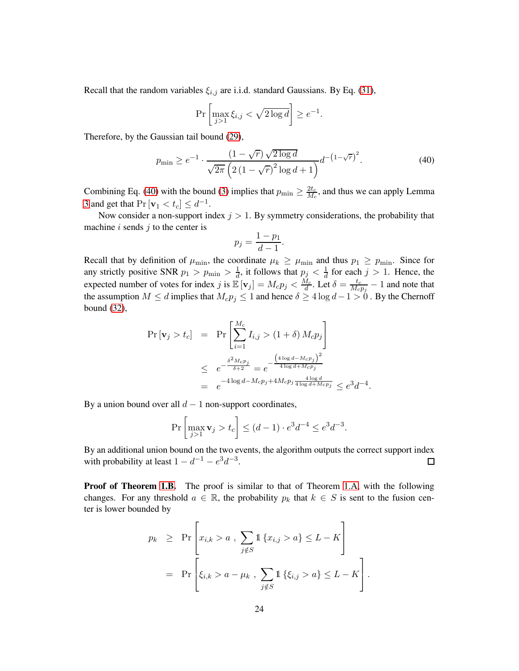Recall that the random variables  $\xi_{i,j}$  are i.i.d. standard Gaussians. By Eq. [\(31\)](#page-20-2),

$$
\Pr\left[\max_{j>1} \xi_{i,j} < \sqrt{2\log d}\right] \ge e^{-1}.
$$

Therefore, by the Gaussian tail bound [\(29\)](#page-20-0),

<span id="page-23-0"></span>
$$
p_{\min} \ge e^{-1} \cdot \frac{(1 - \sqrt{r})\sqrt{2\log d}}{\sqrt{2\pi} \left(2\left(1 - \sqrt{r}\right)^2 \log d + 1\right)} d^{-\left(1 - \sqrt{r}\right)^2}.
$$
\n(40)

Combining Eq. [\(40\)](#page-23-0) with the bound [\(3\)](#page-6-0) implies that  $p_{\min} \geq \frac{2t_c}{M_c}$  $\frac{2t_c}{M_c}$ , and thus we can apply Lemma [3](#page-21-4) and get that  $Pr[\mathbf{v}_1 < t_c] \leq d^{-1}$ .

Now consider a non-support index  $j > 1$ . By symmetry considerations, the probability that machine  $i$  sends  $j$  to the center is

$$
p_j = \frac{1 - p_1}{d - 1}.
$$

Recall that by definition of  $\mu_{\min}$ , the coordinate  $\mu_k \ge \mu_{\min}$  and thus  $p_1 \ge p_{\min}$ . Since for any strictly positive SNR  $p_1 > p_{\min} > \frac{1}{d}$ , it follows that  $p_j < \frac{1}{d}$  for each  $j > 1$ . Hence, the expected number of votes for index j is  $\mathbb{E}[\mathbf{v}_j] = M_c p_j < \frac{M_c}{d}$ . Let  $\delta = \frac{t_c}{M_c}$  $\frac{t_c}{M_c p_j} - 1$  and note that the assumption  $M \le d$  implies that  $M_c p_j \le 1$  and hence  $\delta \ge 4 \log d - 1 > 0$ . By the Chernoff bound [\(32\)](#page-20-1),

$$
\Pr[\mathbf{v}_j > t_c] = \Pr\left[\sum_{i=1}^{M_c} I_{i,j} > (1+\delta) M_c p_j\right] \\
\leq e^{-\frac{\delta^2 M_c p_j}{\delta + 2}} = e^{-\frac{\left(4 \log d - M_c p_j\right)^2}{4 \log d + M_c p_j}} \\
= e^{-4 \log d - M_c p_j + 4M_c p_j \frac{4 \log d}{4 \log d + M_c p_j}} \leq e^3 d^{-4}.
$$

By a union bound over all  $d - 1$  non-support coordinates,

$$
\Pr\left[\max_{j>1} \mathbf{v}_j > t_c\right] \le (d-1) \cdot e^3 d^{-4} \le e^3 d^{-3}.
$$

By an additional union bound on the two events, the algorithm outputs the correct support index with probability at least  $1 - d^{-1} - e^3 d^{-3}$ .  $\Box$ 

**Proof of Theorem [1.B.](#page-10-0)** The proof is similar to that of Theorem [1.A,](#page-10-1) with the following changes. For any threshold  $a \in \mathbb{R}$ , the probability  $p_k$  that  $k \in S$  is sent to the fusion center is lower bounded by

$$
p_k \ge \Pr \left[ x_{i,k} > a \ , \sum_{j \notin S} \mathbb{1} \{ x_{i,j} > a \} \le L - K \right]
$$
  
=  $\Pr \left[ \xi_{i,k} > a - \mu_k \ , \sum_{j \notin S} \mathbb{1} \{ \xi_{i,j} > a \} \le L - K \right].$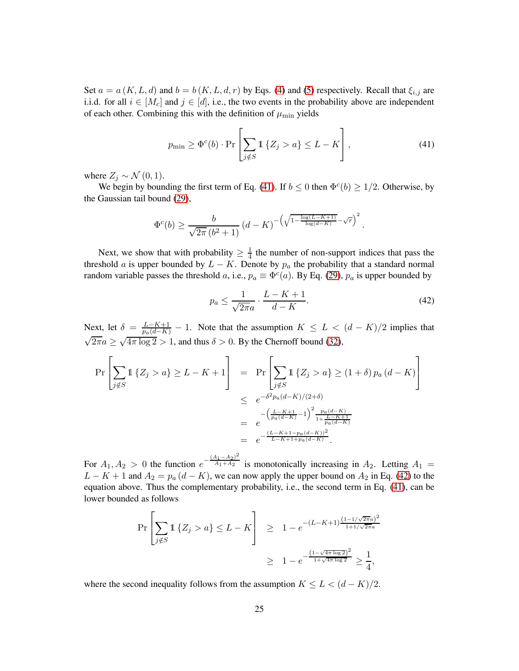Set  $a = a(K, L, d)$  and  $b = b(K, L, d, r)$  by Eqs. [\(4\)](#page-7-2) and [\(5\)](#page-7-3) respectively. Recall that  $\xi_{i,j}$  are i.i.d. for all  $i \in [M_c]$  and  $j \in [d]$ , i.e., the two events in the probability above are independent of each other. Combining this with the definition of  $\mu_{\min}$  yields

<span id="page-24-0"></span>
$$
p_{\min} \ge \Phi^c(b) \cdot \Pr\left[\sum_{j \notin S} \mathbb{1}\left\{Z_j > a\right\} \le L - K\right],\tag{41}
$$

where  $Z_j \sim \mathcal{N}(0, 1)$ .

We begin by bounding the first term of Eq. [\(41\)](#page-24-0). If  $b \le 0$  then  $\Phi^c(b) \ge 1/2$ . Otherwise, by the Gaussian tail bound [\(29\)](#page-20-0),

$$
\Phi^{c}(b) \ge \frac{b}{\sqrt{2\pi} (b^2 + 1)} (d - K)^{-\left(\sqrt{1 - \frac{\log(L - K + 1)}{\log(d - K)}} - \sqrt{r}\right)^2}.
$$

Next, we show that with probability  $\geq \frac{1}{4}$  $\frac{1}{4}$  the number of non-support indices that pass the threshold a is upper bounded by  $L - K$ . Denote by  $p_a$  the probability that a standard normal random variable passes the threshold a, i.e.,  $p_a \equiv \Phi^c(a)$ . By Eq. [\(29\)](#page-20-0),  $p_a$  is upper bounded by

<span id="page-24-1"></span>
$$
p_a \le \frac{1}{\sqrt{2\pi a}} \cdot \frac{L - K + 1}{d - K}.\tag{42}
$$

Next, let  $\delta = \frac{L-K+1}{p_a(d-K)} - 1$ . Note that the assumption  $K \leq L < (d - K)/2$  implies that  $\sqrt{2\pi}a \ge \sqrt{4\pi \log 2} > 1$ , and thus  $\delta > 0$ . By the Chernoff bound [\(32\)](#page-20-1),

$$
\Pr\left[\sum_{j \notin S} \mathbb{1}\left\{Z_j > a\right\} \ge L - K + 1\right] = \Pr\left[\sum_{j \notin S} \mathbb{1}\left\{Z_j > a\right\} \ge (1 + \delta) p_a (d - K)\right] \\
\le e^{-\delta^2 p_a (d - K)/(2 + \delta)} \\
- \left(\frac{L - K + 1}{p_a (d - K)} - 1\right)^2 \frac{p_a (d - K)}{1 + \frac{L - K + 1}{p_a (d - K)}} \\
= e^{-\frac{(L - K + 1 - p_a (d - K))^2}{L - K + 1 + p_a (d - K)}}.
$$

For  $A_1, A_2 > 0$  the function  $e^{-\frac{(A_1 - A_2)^2}{A_1 + A_2}}$  $\frac{A_1+A_2}{A_1+A_2}$  is monotonically increasing in  $A_2$ . Letting  $A_1 =$  $L - K + 1$  and  $A_2 = p_a (d - K)$ , we can now apply the upper bound on  $A_2$  in Eq. [\(42\)](#page-24-1) to the equation above. Thus the complementary probability, i.e., the second term in Eq. [\(41\)](#page-24-0), can be lower bounded as follows

$$
\Pr\left[\sum_{j \notin S} \mathbb{1}\left\{Z_j > a\right\} \le L - K\right] \ge 1 - e^{-(L - K + 1)\frac{(1 - 1/\sqrt{2\pi}a)^2}{1 + 1/\sqrt{2\pi}a}} \ge 1 - e^{-\frac{(1 - \sqrt{4\pi}\log 2)^2}{1 + \sqrt{4\pi}\log 2}} \ge \frac{1}{4},
$$

where the second inequality follows from the assumption  $K \leq L < (d - K)/2$ .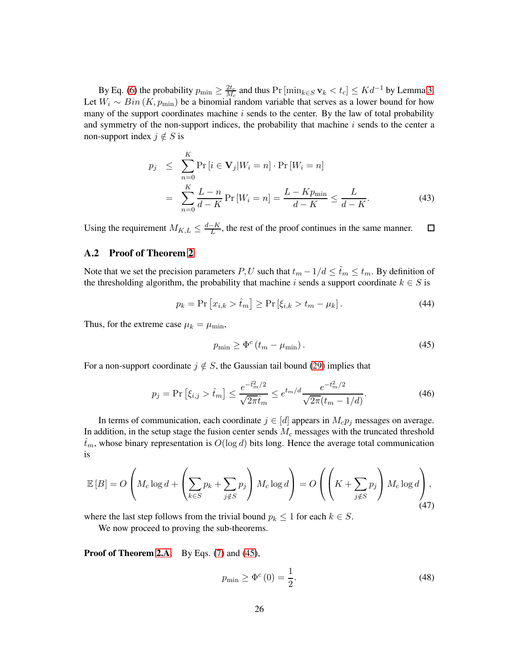By Eq. [\(6\)](#page-7-1) the probability  $p_{\min} \geq \frac{2t_c}{M_c}$  $\frac{2t_c}{M_c}$  and thus Pr  $[\min_{k \in S} \mathbf{v}_k < t_c] \leq K d^{-1}$  by Lemma [3.](#page-21-4) Let  $W_i \sim Bin(K, p_{\min})$  be a binomial random variable that serves as a lower bound for how many of the support coordinates machine  $i$  sends to the center. By the law of total probability and symmetry of the non-support indices, the probability that machine  $i$  sends to the center a non-support index  $j \notin S$  is

<span id="page-25-5"></span>
$$
p_j \leq \sum_{n=0}^{K} \Pr[i \in \mathbf{V}_j | W_i = n] \cdot \Pr[W_i = n]
$$

$$
= \sum_{n=0}^{K} \frac{L - n}{d - K} \Pr[W_i = n] = \frac{L - K p_{\min}}{d - K} \leq \frac{L}{d - K}.
$$
(43)

Using the requirement  $M_{K,L} \leq \frac{d-K}{L}$ , the rest of the proof continues in the same manner.  $\Box$ 

### <span id="page-25-0"></span>A.2 Proof of Theorem [2](#page-10-0)

Note that we set the precision parameters P, U such that  $t_m - 1/d \leq \hat{t}_m \leq t_m$ . By definition of the thresholding algorithm, the probability that machine i sends a support coordinate  $k \in S$  is

<span id="page-25-4"></span>
$$
p_k = \Pr[x_{i,k} > \hat{t}_m] \ge \Pr[\xi_{i,k} > t_m - \mu_k]. \tag{44}
$$

Thus, for the extreme case  $\mu_k = \mu_{\min}$ ,

<span id="page-25-1"></span>
$$
p_{\min} \ge \Phi^c \left( t_m - \mu_{\min} \right). \tag{45}
$$

For a non-support coordinate  $j \notin S$ , the Gaussian tail bound [\(29\)](#page-20-0) implies that

<span id="page-25-2"></span>
$$
p_j = \Pr\left[\xi_{i,j} > \hat{t}_m\right] \le \frac{e^{-\hat{t}_m^2/2}}{\sqrt{2\pi}\hat{t}_m} \le e^{t_m/d} \frac{e^{-t_m^2/2}}{\sqrt{2\pi}(t_m - 1/d)}.\tag{46}
$$

In terms of communication, each coordinate  $j \in [d]$  appears in  $M_c p_j$  messages on average. In addition, in the setup stage the fusion center sends  $M<sub>c</sub>$  messages with the truncated threshold  $\hat{t}_m$ , whose binary representation is  $O(\log d)$  bits long. Hence the average total communication is

<span id="page-25-3"></span>
$$
\mathbb{E}\left[B\right] = O\left(M_c \log d + \left(\sum_{k \in S} p_k + \sum_{j \notin S} p_j\right) M_c \log d\right) = O\left(\left(K + \sum_{j \notin S} p_j\right) M_c \log d\right),\tag{47}
$$

where the last step follows from the trivial bound  $p_k \leq 1$  for each  $k \in S$ .

We now proceed to proving the sub-theorems.

Proof of Theorem [2.A.](#page-10-1) By Eqs. [\(7\)](#page-10-2) and [\(45\)](#page-25-1),

$$
p_{\min} \ge \Phi^c(0) = \frac{1}{2}.\tag{48}
$$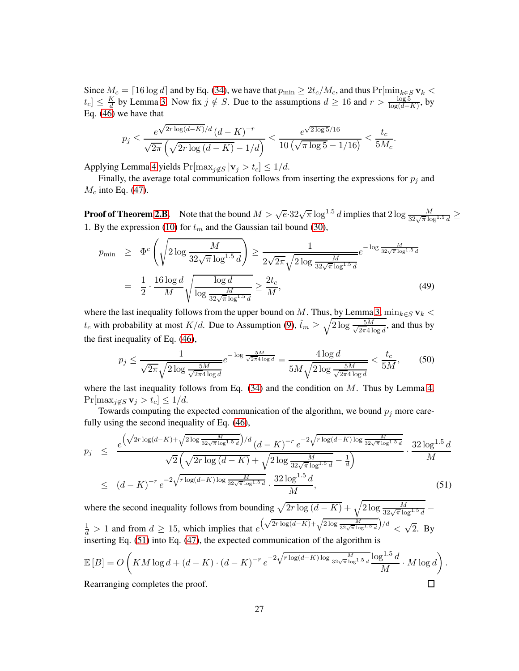Since  $M_c = \lceil 16 \log d \rceil$  and by Eq. [\(34\)](#page-21-0), we have that  $p_{\min} \ge 2t_c/M_c$ , and thus  $\Pr[\min_{k \in S} \mathbf{v}_k <$  $|t_c| \leq \frac{K}{d}$  $\frac{dK}{dt}$  by Lemma [3.](#page-21-4) Now fix  $j \notin S$ . Due to the assumptions  $d \ge 16$  and  $r > \frac{\log 5}{\log(d-K)}$ , by Eq. [\(46\)](#page-25-2) we have that

$$
p_j \le \frac{e^{\sqrt{2r \log(d-K)}/d} (d-K)^{-r}}{\sqrt{2\pi} \left(\sqrt{2r \log(d-K)} - 1/d\right)} \le \frac{e^{\sqrt{2\log 5}/16}}{10 \left(\sqrt{\pi \log 5} - 1/16\right)} \le \frac{t_c}{5M_c}.
$$

Applying Lemma [4](#page-22-1) yields  $Pr[\max_{j \notin S} |v_j > t_c] \leq 1/d$ .

Finally, the average total communication follows from inserting the expressions for  $p_i$  and  $M_c$  into Eq. [\(47\)](#page-25-3).

**Proof of Theorem [2.B.](#page-10-0)** Note that the bound  $M > \sqrt{e} \cdot 32\sqrt{\pi} \log^{1.5} d$  implies that  $2 \log \frac{M}{32\sqrt{\pi} \log^{1.5} d} \ge$ 1. By the expression [\(10\)](#page-10-3) for  $t_m$  and the Gaussian tail bound [\(30\)](#page-20-3),

$$
p_{\min} \geq \Phi^c \left( \sqrt{2 \log \frac{M}{32\sqrt{\pi} \log^{1.5} d}} \right) \geq \frac{1}{2\sqrt{2\pi} \sqrt{2 \log \frac{M}{32\sqrt{\pi} \log^{1.5} d}}} e^{-\log \frac{M}{32\sqrt{\pi} \log^{1.5} d}}
$$

$$
= \frac{1}{2} \cdot \frac{16 \log d}{M} \sqrt{\frac{\log d}{\log \frac{M}{32\sqrt{\pi} \log^{1.5} d}}} \geq \frac{2t_c}{M},\tag{49}
$$

where the last inequality follows from the upper bound on M. Thus, by Lemma [3,](#page-21-4)  $\min_{k \in S} \mathbf{v}_k$  <  $t_c$  with probability at most  $K/d$ . Due to Assumption [\(9\)](#page-10-6),  $\hat{t}_m \geq \sqrt{2 \log \frac{5M}{\sqrt{2\pi}41}}$  $\frac{5M}{2\pi 4\log d}$ , and thus by the first inequality of Eq. [\(46\)](#page-25-2),

$$
p_j \le \frac{1}{\sqrt{2\pi}\sqrt{2\log\frac{5M}{\sqrt{2\pi}4\log d}}}e^{-\log\frac{5M}{\sqrt{2\pi}4\log d}} = \frac{4\log d}{5M\sqrt{2\log\frac{5M}{\sqrt{2\pi}4\log d}}} < \frac{t_c}{5M},\tag{50}
$$

where the last inequality follows from Eq.  $(34)$  and the condition on M. Thus by Lemma [4,](#page-22-1)  $Pr[\max_{j \notin S} \mathbf{v}_j > t_c] \leq 1/d.$ 

Towards computing the expected communication of the algorithm, we bound  $p_j$  more carefully using the second inequality of Eq. [\(46\)](#page-25-2),

<span id="page-26-0"></span>
$$
p_j \leq \frac{e^{\left(\sqrt{2r\log(d-K)} + \sqrt{2\log\frac{M}{32\sqrt{\pi}\log^{1.5}d}}\right)/d}\left(d-K\right)^{-r}e^{-2\sqrt{r\log(d-K)\log\frac{M}{32\sqrt{\pi}\log^{1.5}d}}}}{\sqrt{2}\left(\sqrt{2r\log(d-K)} + \sqrt{2\log\frac{M}{32\sqrt{\pi}\log^{1.5}d}} - \frac{1}{d}\right)} \cdot \frac{32\log^{1.5}d}{M}
$$
  
 
$$
\leq (d-K)^{-r}e^{-2\sqrt{r\log(d-K)\log\frac{M}{32\sqrt{\pi}\log^{1.5}d}}}} \cdot \frac{32\log^{1.5}d}{M}, \tag{51}
$$

where the second inequality follows from bounding  $\sqrt{2r \log (d - K)} + \sqrt{2 \log \frac{M}{32\sqrt{\pi} \log^{1.5} d}}$  $\frac{1}{d}$  > 1 and from  $d \ge 15$ , which implies that e  $\left(\sqrt{2r \log(d-K)} + \sqrt{2 \log \frac{M}{32\sqrt{\pi} \log^{1.5} d}}\right)/d \right) < \sqrt{2}$ . By inserting Eq. [\(51\)](#page-26-0) into Eq. [\(47\)](#page-25-3), the expected communication of the algorithm is

$$
\mathbb{E}[B] = O\left(KM\log d + (d - K) \cdot (d - K)^{-r} e^{-2\sqrt{r\log(d - K)\log \frac{M}{32\sqrt{\pi}\log^{1.5}d}}}\frac{\log^{1.5}d}{M} \cdot M\log d\right).
$$
  
Rearranging completes the proof.

Rearranging completes the proof.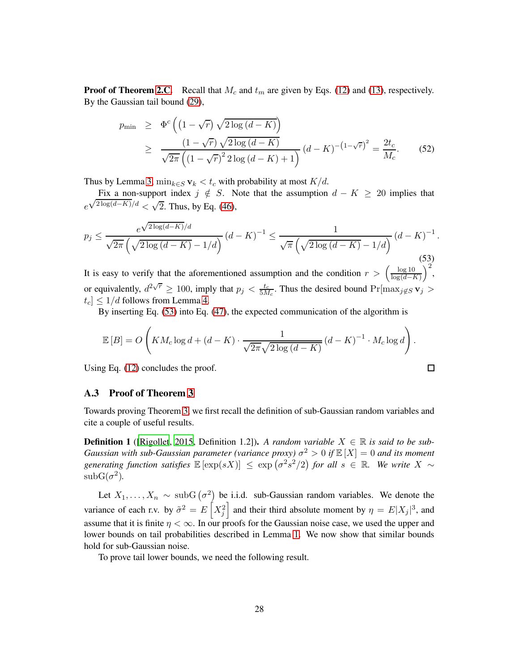**Proof of Theorem [2.C.](#page-12-0)** Recall that  $M_c$  and  $t_m$  are given by Eqs. [\(12\)](#page-11-2) and [\(13\)](#page-11-3), respectively. By the Gaussian tail bound [\(29\)](#page-20-0),

<span id="page-27-2"></span>
$$
p_{\min} \geq \Phi^c \left( \left( 1 - \sqrt{r} \right) \sqrt{2 \log \left( d - K \right)} \right)
$$
  
 
$$
\geq \frac{\left( 1 - \sqrt{r} \right) \sqrt{2 \log \left( d - K \right)}}{\sqrt{2\pi} \left( \left( 1 - \sqrt{r} \right)^2 2 \log \left( d - K \right) + 1 \right)} \left( d - K \right)^{-\left( 1 - \sqrt{r} \right)^2} = \frac{2t_c}{M_c}.
$$
 (52)

Thus by Lemma [3,](#page-21-4)  $\min_{k \in S} \mathbf{v}_k < t_c$  with probability at most  $K/d$ .

Fix a non-support index  $j \notin S$ . Note that the assumption  $d - K \geq 20$  implies that e  $\sqrt{2 \log(d-K)}/d < \sqrt{2}$ . Thus, by Eq. [\(46\)](#page-25-2),

<span id="page-27-1"></span>
$$
p_j \le \frac{e^{\sqrt{2\log(d-K)}/d}}{\sqrt{2\pi} \left(\sqrt{2\log(d-K)} - 1/d\right)} \left(d-K\right)^{-1} \le \frac{1}{\sqrt{\pi} \left(\sqrt{2\log(d-K)} - 1/d\right)} \left(d-K\right)^{-1}.
$$
\n(53)

It is easy to verify that the aforementioned assumption and the condition  $r > \left(\frac{\log 10}{\log(d-1)}\right)$  $log(d-K)$  $\big)^2$ , or equivalently,  $d^{2\sqrt{r}} \ge 100$ , imply that  $p_j < \frac{t_c}{5M}$  $\frac{t_c}{5M_c}$ . Thus the desired bound  $\Pr[\max_{j \notin S} \mathbf{v}_j]$  $|t_c| \leq 1/d$  follows from Lemma [4.](#page-22-1)

By inserting Eq. [\(53\)](#page-27-1) into Eq. [\(47\)](#page-25-3), the expected communication of the algorithm is

$$
\mathbb{E}[B] = O\left(KM_c \log d + (d-K) \cdot \frac{1}{\sqrt{2\pi}\sqrt{2\log (d-K)}} (d-K)^{-1} \cdot M_c \log d\right).
$$

 $\Box$ 

Using Eq. [\(12\)](#page-11-2) concludes the proof.

### <span id="page-27-0"></span>A.3 Proof of Theorem [3](#page-12-0)

Towards proving Theorem [3,](#page-12-0) we first recall the definition of sub-Gaussian random variables and cite a couple of useful results.

**Definition 1** ([\[Rigollet](#page-35-12), [2015](#page-35-12), Definition 1.2]). A random variable  $X \in \mathbb{R}$  is said to be sub-*Gaussian with sub-Gaussian parameter (variance proxy)*  $\sigma^2 > 0$  if  $\mathbb{E}[X] = 0$  and its moment generating function satisfies  $\mathbb{E} [\exp(sX)] \leq \exp (\sigma^2 s^2/2)$  for all  $s \in \mathbb{R}$ . We write  $X \sim$  $\text{subG}(\sigma^2)$ .

Let  $X_1, \ldots, X_n \sim \text{subG}(\sigma^2)$  be i.i.d. sub-Gaussian random variables. We denote the variance of each r.v. by  $\tilde{\sigma}^2 = E\left[X_j^2\right]$  and their third absolute moment by  $\eta = E|X_j|^3$ , and assume that it is finite  $\eta < \infty$ . In our proofs for the Gaussian noise case, we used the upper and lower bounds on tail probabilities described in Lemma [1.](#page-20-4) We now show that similar bounds hold for sub-Gaussian noise.

To prove tail lower bounds, we need the following result.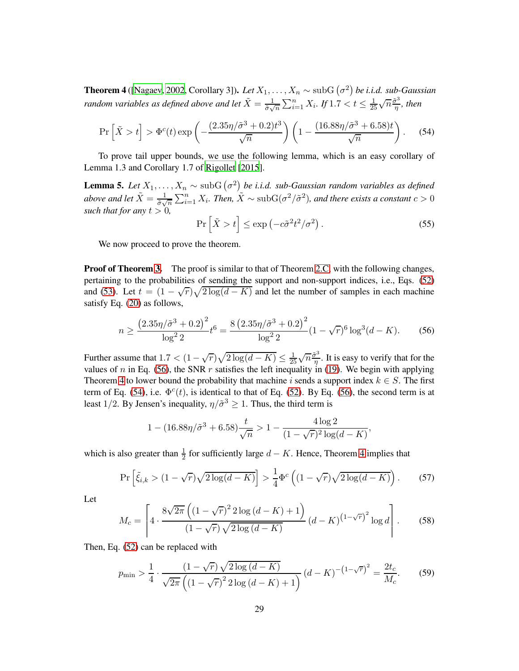<span id="page-28-1"></span>**Theorem 4** ([\[Nagaev](#page-35-13), [2002,](#page-35-13) Corollary 3]). *Let*  $X_1, \ldots, X_n \sim \text{subG}(\sigma^2)$  *be i.i.d.* sub-Gaussian *random variables as defined above and let*  $\tilde{X} = \frac{1}{\tilde{x}}$  $\frac{1}{\tilde{\sigma}\sqrt{n}}\sum_{i=1}^{n}X_i$ . If  $1.7 < t \leq \frac{1}{25}$  $rac{1}{25}\sqrt{n}\frac{\tilde{\sigma}^3}{\eta}$  $\frac{\sigma^3}{\eta}$ , then

<span id="page-28-2"></span>
$$
\Pr\left[\tilde{X} > t\right] > \Phi^c(t) \exp\left(-\frac{(2.35\eta/\tilde{\sigma}^3 + 0.2)t^3}{\sqrt{n}}\right) \left(1 - \frac{(16.88\eta/\tilde{\sigma}^3 + 6.58)t}{\sqrt{n}}\right). \tag{54}
$$

To prove tail upper bounds, we use the following lemma, which is an easy corollary of Lemma 1.3 and Corollary 1.7 of [Rigollet \[2015](#page-35-12)].

<span id="page-28-3"></span>**Lemma 5.** Let  $X_1, \ldots, X_n \sim \text{subG}(\sigma^2)$  be i.i.d. sub-Gaussian random variables as defined *above and let*  $\tilde{X} = \frac{1}{\tilde{\sigma}$  $\frac{1}{\tilde{\sigma}\sqrt{n}}\sum_{i=1}^n X_i$ *. Then,*  $\tilde{X} \sim \text{subG}(\sigma^2/\tilde{\sigma}^2)$ *, and there exists a constant*  $c > 0$ *such that for any*  $t > 0$ ,

<span id="page-28-4"></span>
$$
\Pr\left[\tilde{X} > t\right] \le \exp\left(-c\tilde{\sigma}^2 t^2 / \sigma^2\right). \tag{55}
$$

We now proceed to prove the theorem.

**Proof of Theorem [3.](#page-12-0)** The proof is similar to that of Theorem [2.C,](#page-12-0) with the following changes, pertaining to the probabilities of sending the support and non-support indices, i.e., Eqs. [\(52\)](#page-27-2) and [\(53\)](#page-27-1). Let  $t = (1 - \sqrt{r})\sqrt{2\log(d - K)}$  and let the number of samples in each machine satisfy Eq. [\(20\)](#page-12-1) as follows,

<span id="page-28-0"></span>
$$
n \ge \frac{\left(2.35\eta/\tilde{\sigma}^3 + 0.2\right)^2}{\log^2 2} t^6 = \frac{8\left(2.35\eta/\tilde{\sigma}^3 + 0.2\right)^2}{\log^2 2} (1 - \sqrt{r})^6 \log^3(d - K). \tag{56}
$$

Further assume that  $1.7 < (1 - \sqrt{r})\sqrt{2\log(d - K)} \le \frac{1}{25}\sqrt{n}\frac{\tilde{\sigma}^3}{\eta}$  $\frac{\partial^2}{\partial \eta}$ . It is easy to verify that for the values of n in Eq. [\(56\)](#page-28-0), the SNR r satisfies the left inequality in [\(19\)](#page-12-2). We begin with applying Theorem [4](#page-28-1) to lower bound the probability that machine i sends a support index  $k \in S$ . The first term of Eq. [\(54\)](#page-28-2), i.e.  $\Phi^c(t)$ , is identical to that of Eq. [\(52\)](#page-27-2). By Eq. [\(56\)](#page-28-0), the second term is at least 1/2. By Jensen's inequality,  $\eta/\tilde{\sigma}^3 \ge 1$ . Thus, the third term is

$$
1 - (16.88\eta/\tilde{\sigma}^3 + 6.58)\frac{t}{\sqrt{n}} > 1 - \frac{4\log 2}{(1 - \sqrt{r})^2 \log(d - K)},
$$

which is also greater than  $\frac{1}{2}$  for sufficiently large  $d - K$ . Hence, Theorem [4](#page-28-1) implies that

$$
\Pr\left[\tilde{\xi}_{i,k} > (1 - \sqrt{r})\sqrt{2\log(d - K)}\right] > \frac{1}{4}\Phi^c\left((1 - \sqrt{r})\sqrt{2\log(d - K)}\right). \tag{57}
$$

Let

<span id="page-28-5"></span>
$$
M_c = \left[ 4 \cdot \frac{8\sqrt{2\pi} \left( (1 - \sqrt{r})^2 2 \log (d - K) + 1 \right)}{(1 - \sqrt{r}) \sqrt{2 \log (d - K)}} (d - K)^{(1 - \sqrt{r})^2} \log d \right].
$$
 (58)

Then, Eq. [\(52\)](#page-27-2) can be replaced with

$$
p_{\min} > \frac{1}{4} \cdot \frac{(1 - \sqrt{r})\sqrt{2\log(d - K)}}{\sqrt{2\pi} \left( (1 - \sqrt{r})^2 2\log(d - K) + 1 \right)} (d - K)^{-(1 - \sqrt{r})^2} = \frac{2t_c}{M_c}.
$$
 (59)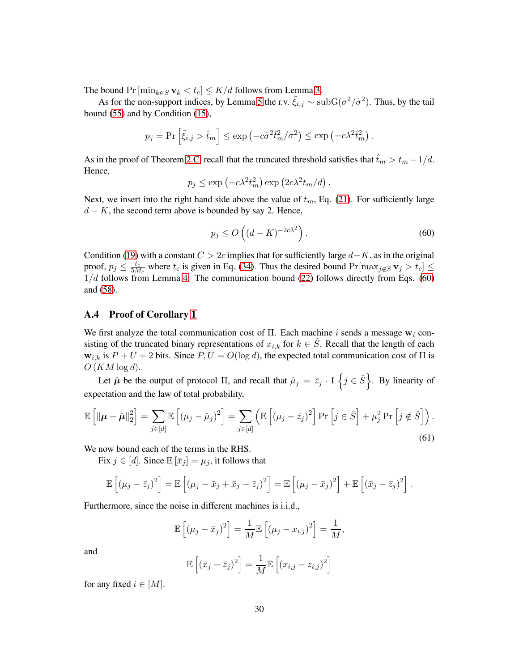The bound  $Pr[\min_{k \in S} \mathbf{v}_k < t_c] \leq K/d$  follows from Lemma [3.](#page-21-4)

As for the non-support indices, by Lemma [5](#page-28-3) the r.v.  $\tilde{\xi}_{i,j} \sim \text{subG}(\sigma^2/\tilde{\sigma}^2)$ . Thus, by the tail bound [\(55\)](#page-28-4) and by Condition [\(15\)](#page-11-4),

$$
p_j = Pr \left[\tilde{\xi}_{i,j} > \hat{t}_m\right] \le \exp\left(-c\tilde{\sigma}^2 \hat{t}_m^2 / \sigma^2\right) \le \exp\left(-c\lambda^2 \hat{t}_m^2\right).
$$

As in the proof of Theorem [2.C,](#page-12-0) recall that the truncated threshold satisfies that  $\hat{t}_m > t_m - 1/d$ . Hence,

$$
p_j \le \exp\left(-c\lambda^2 t_m^2\right) \exp\left(2c\lambda^2 t_m/d\right).
$$

Next, we insert into the right hand side above the value of  $t_m$ , Eq. [\(21\)](#page-12-4). For sufficiently large  $d - K$ , the second term above is bounded by say 2. Hence,

<span id="page-29-1"></span>
$$
p_j \le O\left((d-K)^{-2c\lambda^2}\right). \tag{60}
$$

Condition [\(19\)](#page-12-2) with a constant  $C > 2c$  implies that for sufficiently large  $d-K$ , as in the original proof,  $p_j \leq \frac{t_c}{5M}$  $\frac{t_c}{5M_c}$  where  $t_c$  is given in Eq. [\(34\)](#page-21-0). Thus the desired bound  $Pr[\max_{j \notin S} \mathbf{v}_j > t_c] \leq$  $1/d$  follows from Lemma [4.](#page-22-1) The communication bound [\(22\)](#page-12-5) follows directly from Eqs. [\(60\)](#page-29-1) and [\(58\)](#page-28-5).

### <span id="page-29-0"></span>A.4 Proof of Corollary [1](#page-15-0)

We first analyze the total communication cost of  $\Pi$ . Each machine i sends a message  $w_i$  consisting of the truncated binary representations of  $x_{i,k}$  for  $k \in \hat{S}$ . Recall that the length of each  $w_{i,k}$  is  $P + U + 2$  bits. Since  $P, U = O(\log d)$ , the expected total communication cost of  $\Pi$  is  $O(KM \log d)$ .

Let  $\hat{\mu}$  be the output of protocol  $\Pi$ , and recall that  $\hat{\mu}_j = \bar{z}_j \cdot \mathbb{1} \left\{ j \in \hat{S} \right\}$ . By linearity of expectation and the law of total probability,

<span id="page-29-2"></span>
$$
\mathbb{E}\left[\|\boldsymbol{\mu}-\hat{\boldsymbol{\mu}}\|_{2}^{2}\right] = \sum_{j\in[d]}\mathbb{E}\left[(\mu_{j}-\hat{\mu}_{j})^{2}\right] = \sum_{j\in[d]}\left(\mathbb{E}\left[(\mu_{j}-\bar{z}_{j})^{2}\right]\Pr\left[j\in\hat{S}\right] + \mu_{j}^{2}\Pr\left[j\notin\hat{S}\right]\right).
$$
\n(61)

We now bound each of the terms in the RHS.

Fix  $j \in [d]$ . Since  $\mathbb{E}[\bar{x}_j] = \mu_j$ , it follows that

$$
\mathbb{E}\left[ (\mu_j - \bar{z}_j)^2 \right] = \mathbb{E}\left[ (\mu_j - \bar{x}_j + \bar{x}_j - \bar{z}_j)^2 \right] = \mathbb{E}\left[ (\mu_j - \bar{x}_j)^2 \right] + \mathbb{E}\left[ (\bar{x}_j - \bar{z}_j)^2 \right].
$$

Furthermore, since the noise in different machines is i.i.d.,

$$
\mathbb{E}\left[\left(\mu_j - \bar{x}_j\right)^2\right] = \frac{1}{M} \mathbb{E}\left[\left(\mu_j - x_{i,j}\right)^2\right] = \frac{1}{M},
$$

and

$$
\mathbb{E}\left[\left(\bar{x}_j - \bar{z}_j\right)^2\right] = \frac{1}{M}\mathbb{E}\left[\left(x_{i,j} - z_{i,j}\right)^2\right]
$$

for any fixed  $i \in [M]$ .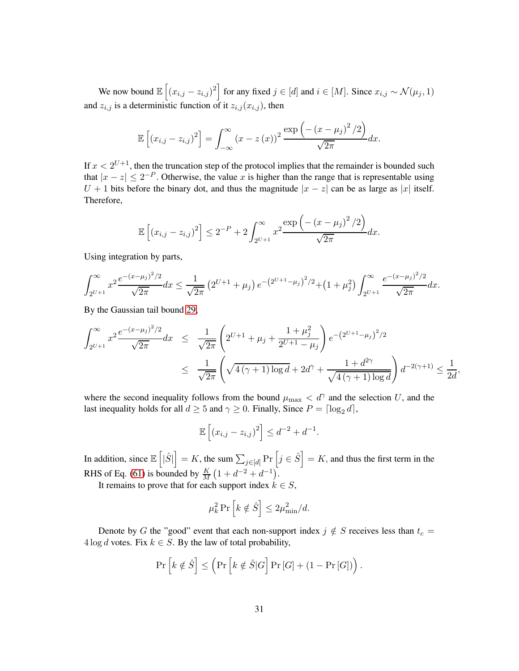We now bound  $\mathbb{E}\left[\left(x_{i,j} - z_{i,j}\right)^2\right]$  for any fixed  $j \in [d]$  and  $i \in [M]$ . Since  $x_{i,j} \sim \mathcal{N}(\mu_j, 1)$ and  $z_{i,j}$  is a deterministic function of it  $z_{i,j}(x_{i,j})$ , then

$$
\mathbb{E}\left[\left(x_{i,j}-z_{i,j}\right)^2\right] = \int_{-\infty}^{\infty} \left(x-z\left(x\right)\right)^2 \frac{\exp\left(-\left(x-\mu_j\right)^2/2\right)}{\sqrt{2\pi}} dx.
$$

If  $x < 2^{U+1}$ , then the truncation step of the protocol implies that the remainder is bounded such that  $|x - z| \le 2^{-P}$ . Otherwise, the value x is higher than the range that is representable using  $U + 1$  bits before the binary dot, and thus the magnitude  $|x - z|$  can be as large as |x| itself. Therefore,

$$
\mathbb{E}\left[ (x_{i,j} - z_{i,j})^2 \right] \le 2^{-P} + 2 \int_{2^{U+1}}^{\infty} x^2 \frac{\exp\left(-\left(x - \mu_j\right)^2 / 2\right)}{\sqrt{2\pi}} dx.
$$

Using integration by parts,

$$
\int_{2^{U+1}}^{\infty} x^2 \frac{e^{-(x-\mu_j)^2/2}}{\sqrt{2\pi}} dx \le \frac{1}{\sqrt{2\pi}} \left( 2^{U+1} + \mu_j \right) e^{-\left( 2^{U+1} - \mu_j \right)^2/2} + \left( 1 + \mu_j^2 \right) \int_{2^{U+1}}^{\infty} \frac{e^{-(x-\mu_j)^2/2}}{\sqrt{2\pi}} dx.
$$

By the Gaussian tail bound [29,](#page-20-0)

$$
\int_{2^{U+1}}^{\infty} x^2 \frac{e^{-(x-\mu_j)^2/2}}{\sqrt{2\pi}} dx \le \frac{1}{\sqrt{2\pi}} \left( 2^{U+1} + \mu_j + \frac{1+\mu_j^2}{2^{U+1}-\mu_j} \right) e^{-(2^{U+1}-\mu_j)^2/2}
$$
  

$$
\le \frac{1}{\sqrt{2\pi}} \left( \sqrt{4(\gamma+1)\log d} + 2d^{\gamma} + \frac{1+d^{2\gamma}}{\sqrt{4(\gamma+1)\log d}} \right) d^{-2(\gamma+1)} \le \frac{1}{2d},
$$

where the second inequality follows from the bound  $\mu_{\text{max}} < d^{\gamma}$  and the selection U, and the last inequality holds for all  $d \geq 5$  and  $\gamma \geq 0$ . Finally, Since  $P = \lceil \log_2 d \rceil$ ,

$$
\mathbb{E}\left[ (x_{i,j} - z_{i,j})^2 \right] \le d^{-2} + d^{-1}.
$$

In addition, since  $\mathbb{E}\left[|\hat{S}|\right] = K$ , the sum  $\sum_{j \in [d]} \Pr\left[j \in \hat{S}\right] = K$ , and thus the first term in the RHS of Eq. [\(61\)](#page-29-2) is bounded by  $\frac{K}{M} (1 + d^{-2} + d^{-1})$ .

It remains to prove that for each support index  $k \in S$ ,

$$
\mu_k^2 \Pr\left[k \notin \hat{S}\right] \le 2\mu_{\min}^2/d.
$$

Denote by G the "good" event that each non-support index  $j \notin S$  receives less than  $t_c =$  $4 \log d$  votes. Fix  $k \in S$ . By the law of total probability,

$$
\Pr\left[k \notin \hat{S}\right] \leq \left(\Pr\left[k \notin \hat{S}|G\right]\Pr\left[G\right] + \left(1 - \Pr\left[G\right]\right)\right).
$$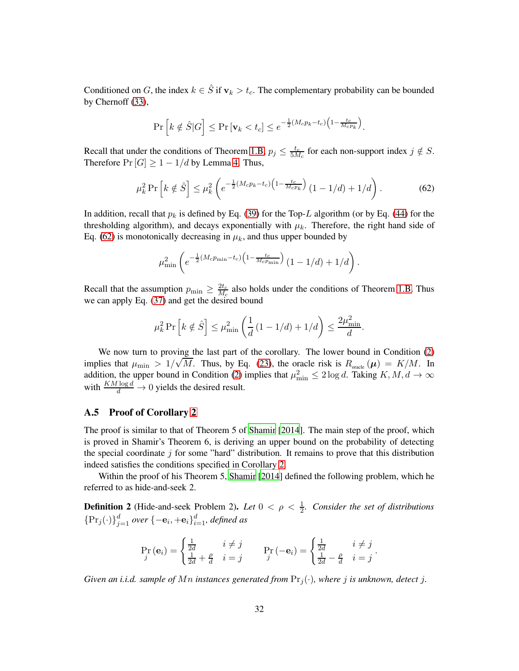Conditioned on G, the index  $k \in \hat{S}$  if  $\mathbf{v}_k > t_c$ . The complementary probability can be bounded by Chernoff [\(33\)](#page-21-1),

$$
\Pr\left[k \notin \hat{S}|G\right] \le \Pr\left[\mathbf{v}_k < t_c\right] \le e^{-\frac{1}{2}(M_c p_k - t_c)\left(1 - \frac{t_c}{M_c p_k}\right)}.
$$

Recall that under the conditions of Theorem [1.B,](#page-10-0)  $p_j \leq \frac{t_c}{5M}$  $\frac{t_c}{5M_c}$  for each non-support index  $j \notin S$ . Therefore  $Pr[G] \geq 1 - 1/d$  by Lemma [4.](#page-22-1) Thus,

<span id="page-31-0"></span>
$$
\mu_k^2 \Pr\left[k \notin \hat{S}\right] \le \mu_k^2 \left(e^{-\frac{1}{2}(M_c p_k - t_c)\left(1 - \frac{t_c}{M_c p_k}\right)} \left(1 - 1/d\right) + 1/d\right). \tag{62}
$$

In addition, recall that  $p_k$  is defined by Eq. [\(39\)](#page-22-2) for the Top-L algorithm (or by Eq. [\(44\)](#page-25-4) for the thresholding algorithm), and decays exponentially with  $\mu_k$ . Therefore, the right hand side of Eq. [\(62\)](#page-31-0) is monotonically decreasing in  $\mu_k$ , and thus upper bounded by

$$
\mu_{\min}^2 \left( e^{-\frac{1}{2}(M_c p_{\min} - t_c) \left(1 - \frac{t_c}{M_c p_{\min}}\right)} (1 - 1/d) + 1/d \right).
$$

Recall that the assumption  $p_{\min} \geq \frac{2t_c}{M_c}$  $\frac{2t_c}{M_c}$  also holds under the conditions of Theorem [1.B.](#page-10-0) Thus we can apply Eq. [\(37\)](#page-21-2) and get the desired bound

$$
\mu_k^2 \Pr\left[k \notin \hat{S}\right] \le \mu_{\min}^2 \left(\frac{1}{d} \left(1 - 1/d\right) + 1/d\right) \le \frac{2\mu_{\min}^2}{d}.
$$

We now turn to proving the last part of the corollary. The lower bound in Condition [\(2\)](#page-4-1) implies that  $\mu_{\min} > 1/\sqrt{M}$ . Thus, by Eq. [\(23\)](#page-13-1), the oracle risk is  $R_{\text{oracle}}(\mu) = K/M$ . In addition, the upper bound in Condition [\(2\)](#page-4-1) implies that  $\mu_{\min}^2 \leq 2 \log d$ . Taking  $K, M, d \to \infty$ with  $\frac{KM \log d}{d} \to 0$  yields the desired result.

#### A.5 Proof of Corollary [2](#page-17-0)

The proof is similar to that of Theorem 5 of [Shamir](#page-35-11) [\[2014](#page-35-11)]. The main step of the proof, which is proved in Shamir's Theorem 6, is deriving an upper bound on the probability of detecting the special coordinate  $\dot{\gamma}$  for some "hard" distribution. It remains to prove that this distribution indeed satisfies the conditions specified in Corollary [2.](#page-17-0)

Within the proof of his Theorem 5, [Shamir \[2014](#page-35-11)] defined the following problem, which he referred to as hide-and-seek 2.

**Definition 2** (Hide-and-seek Problem 2). Let  $0 < \rho < \frac{1}{2}$ . Consider the set of distributions  $\{\Pr_j(\cdot)\}_{j=1}^d$  over  $\{-{\bf e}_i, +{\bf e}_i\}_{i=1}^d$ , defined as

$$
\Pr_{j}(\mathbf{e}_{i}) = \begin{cases} \frac{1}{2d} & i \neq j \\ \frac{1}{2d} + \frac{\rho}{d} & i = j \end{cases} \Pr_{j}(-\mathbf{e}_{i}) = \begin{cases} \frac{1}{2d} & i \neq j \\ \frac{1}{2d} - \frac{\rho}{d} & i = j \end{cases}.
$$

*Given an i.i.d. sample of Mn instances generated from*  $\Pr_j(\cdot)$ *, where j is unknown, detect j.*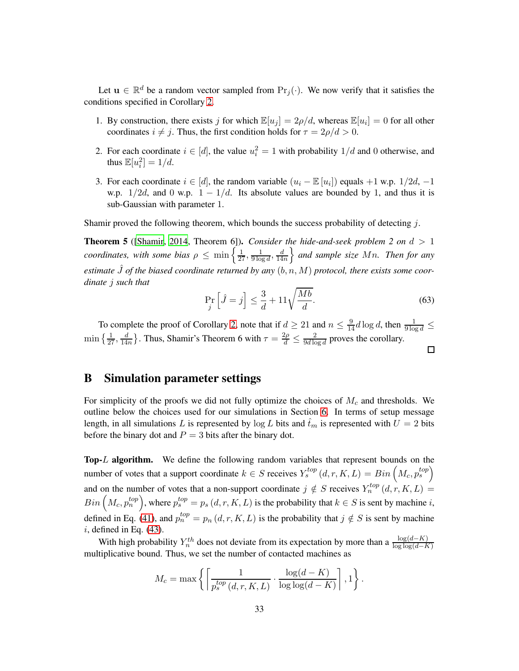Let  $u \in \mathbb{R}^d$  be a random vector sampled from  $Pr_j(\cdot)$ . We now verify that it satisfies the conditions specified in Corollary [2.](#page-17-0)

- 1. By construction, there exists j for which  $\mathbb{E}[u_j] = 2\rho/d$ , whereas  $\mathbb{E}[u_i] = 0$  for all other coordinates  $i \neq j$ . Thus, the first condition holds for  $\tau = 2\rho/d > 0$ .
- 2. For each coordinate  $i \in [d]$ , the value  $u_i^2 = 1$  with probability  $1/d$  and 0 otherwise, and thus  $\mathbb{E}[u_i^2] = 1/d$ .
- 3. For each coordinate  $i \in [d]$ , the random variable  $(u_i \mathbb{E}[u_i])$  equals +1 w.p.  $1/2d$ , -1 w.p.  $1/2d$ , and 0 w.p.  $1 - 1/d$ . Its absolute values are bounded by 1, and thus it is sub-Gaussian with parameter 1.

Shamir proved the following theorem, which bounds the success probability of detecting j.

**Theorem 5** ([\[Shamir](#page-35-11), [2014,](#page-35-11) Theorem 6]). *Consider the hide-and-seek problem 2 on*  $d > 1$ *coordinates, with some bias*  $\rho \leq \min\left\{\frac{1}{27}, \frac{1}{9\log n}\right\}$  $\frac{1}{9\log d}, \frac{d}{14}$  $\frac{d}{14n}$  and sample size Mn. Then for any estimate  $\hat{J}$  of the biased coordinate returned by any  $(b, n, M)$  protocol, there exists some coor*dinate* j *such that*

$$
\Pr_{j} \left[ \hat{J} = j \right] \le \frac{3}{d} + 11 \sqrt{\frac{Mb}{d}}.
$$
\n(63)

 $\Box$ 

To complete the proof of Corollary [2,](#page-17-0) note that if  $d \ge 21$  and  $n \le \frac{9}{14}d\log d$ , then  $\frac{1}{9\log d} \le$  $\min\left\{\frac{1}{27},\frac{d}{14}\right\}$  $\frac{d}{14n}$ . Thus, Shamir's Theorem 6 with  $\tau = \frac{2\rho}{d} \le \frac{2}{9d \log n}$  $\frac{2}{9d \log d}$  proves the corollary.

# <span id="page-32-0"></span>B Simulation parameter settings

For simplicity of the proofs we did not fully optimize the choices of  $M_c$  and thresholds. We outline below the choices used for our simulations in Section [6.](#page-18-0) In terms of setup message length, in all simulations L is represented by  $\log L$  bits and  $\hat{t}_m$  is represented with  $U = 2$  bits before the binary dot and  $P = 3$  bits after the binary dot.

Top-L algorithm. We define the following random variables that represent bounds on the number of votes that a support coordinate  $k \in S$  receives  $Y_s^{top}(d, r, K, L) = Bin\left(M_c, p_s^{top}\right)$ and on the number of votes that a non-support coordinate  $j \notin S$  receives  $Y_n^{top}(d, r, K, L) =$  $Bin\left(M_c, p_n^{top}\right)$ , where  $p_s^{top} = p_s(d, r, K, L)$  is the probability that  $k \in S$  is sent by machine  $i$ , defined in Eq. [\(41\)](#page-24-0), and  $p_n^{top} = p_n(d, r, K, L)$  is the probability that  $j \notin S$  is sent by machine  $i$ , defined in Eq.  $(43)$ .

With high probability  $Y_n^{th}$  does not deviate from its expectation by more than a  $\frac{\log(d-K)}{\log\log(d-K)}$ multiplicative bound. Thus, we set the number of contacted machines as

$$
M_c = \max \left\{ \left\lceil \frac{1}{p_s^{top}(d, r, K, L)} \cdot \frac{\log(d - K)}{\log \log(d - K)} \right\rceil, 1 \right\}.
$$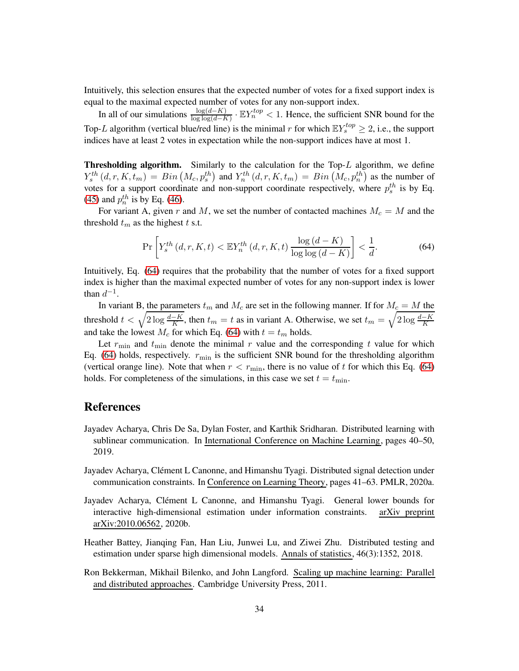Intuitively, this selection ensures that the expected number of votes for a fixed support index is equal to the maximal expected number of votes for any non-support index.

In all of our simulations  $\frac{\log(d-K)}{\log\log(d-K)} \cdot \mathbb{E}Y_n^{top} < 1$ . Hence, the sufficient SNR bound for the Top-L algorithm (vertical blue/red line) is the minimal r for which  $\mathbb{E}Y_s^{top} \geq 2$ , i.e., the support indices have at least 2 votes in expectation while the non-support indices have at most 1.

Thresholding algorithm. Similarly to the calculation for the Top-L algorithm, we define  $Y_s^{th}(d, r, K, t_m) = Bin(M_c, p_s^{th})$  and  $Y_n^{th}(d, r, K, t_m) = Bin(M_c, p_n^{th})$  as the number of votes for a support coordinate and non-support coordinate respectively, where  $p_s^{th}$  is by Eq. [\(45\)](#page-25-1) and  $p_n^{th}$  is by Eq. [\(46\)](#page-25-2).

For variant A, given r and M, we set the number of contacted machines  $M_c = M$  and the threshold  $t_m$  as the highest t s.t.

<span id="page-33-5"></span>
$$
\Pr\left[Y_s^{th}(d,r,K,t) < \mathbb{E}Y_n^{th}(d,r,K,t) \frac{\log\left(d-K\right)}{\log\log\left(d-K\right)}\right] < \frac{1}{d}.\tag{64}
$$

Intuitively, Eq. [\(64\)](#page-33-5) requires that the probability that the number of votes for a fixed support index is higher than the maximal expected number of votes for any non-support index is lower than  $d^{-1}$ .

In variant B, the parameters  $t_m$  and  $M_c$  are set in the following manner. If for  $M_c = M$  the threshold  $t < \sqrt{2 \log \frac{d-K}{K}}$ , then  $t_m = t$  as in variant A. Otherwise, we set  $t_m = \sqrt{2 \log \frac{d-K}{K}}$ and take the lowest  $M_c$  for which Eq. [\(64\)](#page-33-5) with  $t = t_m$  holds.

Let  $r_{\text{min}}$  and  $t_{\text{min}}$  denote the minimal r value and the corresponding t value for which Eq. [\(64\)](#page-33-5) holds, respectively.  $r_{\text{min}}$  is the sufficient SNR bound for the thresholding algorithm (vertical orange line). Note that when  $r < r_{\text{min}}$ , there is no value of t for which this Eq. [\(64\)](#page-33-5) holds. For completeness of the simulations, in this case we set  $t = t_{\text{min}}$ .

# References

- <span id="page-33-4"></span>Jayadev Acharya, Chris De Sa, Dylan Foster, and Karthik Sridharan. Distributed learning with sublinear communication. In International Conference on Machine Learning, pages 40–50, 2019.
- <span id="page-33-3"></span>Jayadev Acharya, Clément L Canonne, and Himanshu Tyagi. Distributed signal detection under communication constraints. In Conference on Learning Theory, pages 41–63. PMLR, 2020a.
- <span id="page-33-2"></span>Jayadev Acharya, Clément L Canonne, and Himanshu Tyagi. General lower bounds for interactive high-dimensional estimation under information constraints. arXiv preprint arXiv:2010.06562, 2020b.
- <span id="page-33-1"></span>Heather Battey, Jianqing Fan, Han Liu, Junwei Lu, and Ziwei Zhu. Distributed testing and estimation under sparse high dimensional models. Annals of statistics, 46(3):1352, 2018.
- <span id="page-33-0"></span>Ron Bekkerman, Mikhail Bilenko, and John Langford. Scaling up machine learning: Parallel and distributed approaches. Cambridge University Press, 2011.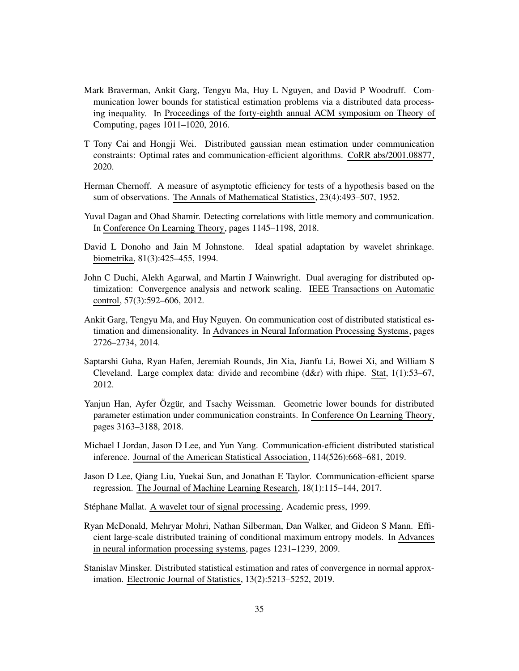- <span id="page-34-8"></span>Mark Braverman, Ankit Garg, Tengyu Ma, Huy L Nguyen, and David P Woodruff. Communication lower bounds for statistical estimation problems via a distributed data processing inequality. In Proceedings of the forty-eighth annual ACM symposium on Theory of Computing, pages 1011–1020, 2016.
- <span id="page-34-7"></span>T Tony Cai and Hongji Wei. Distributed gaussian mean estimation under communication constraints: Optimal rates and communication-efficient algorithms. CoRR abs/2001.08877, 2020.
- <span id="page-34-13"></span>Herman Chernoff. A measure of asymptotic efficiency for tests of a hypothesis based on the sum of observations. The Annals of Mathematical Statistics, 23(4):493–507, 1952.
- <span id="page-34-9"></span>Yuval Dagan and Ohad Shamir. Detecting correlations with little memory and communication. In Conference On Learning Theory, pages 1145–1198, 2018.
- <span id="page-34-12"></span>David L Donoho and Jain M Johnstone. Ideal spatial adaptation by wavelet shrinkage. biometrika, 81(3):425–455, 1994.
- <span id="page-34-1"></span>John C Duchi, Alekh Agarwal, and Martin J Wainwright. Dual averaging for distributed optimization: Convergence analysis and network scaling. IEEE Transactions on Automatic control, 57(3):592–606, 2012.
- <span id="page-34-6"></span>Ankit Garg, Tengyu Ma, and Huy Nguyen. On communication cost of distributed statistical estimation and dimensionality. In Advances in Neural Information Processing Systems, pages 2726–2734, 2014.
- <span id="page-34-2"></span>Saptarshi Guha, Ryan Hafen, Jeremiah Rounds, Jin Xia, Jianfu Li, Bowei Xi, and William S Cleveland. Large complex data: divide and recombine (d&r) with rhipe. Stat, 1(1):53–67, 2012.
- <span id="page-34-10"></span>Yanjun Han, Ayfer Özgür, and Tsachy Weissman. Geometric lower bounds for distributed parameter estimation under communication constraints. In Conference On Learning Theory, pages 3163–3188, 2018.
- <span id="page-34-3"></span>Michael I Jordan, Jason D Lee, and Yun Yang. Communication-efficient distributed statistical inference. Journal of the American Statistical Association, 114(526):668–681, 2019.
- <span id="page-34-5"></span>Jason D Lee, Qiang Liu, Yuekai Sun, and Jonathan E Taylor. Communication-efficient sparse regression. The Journal of Machine Learning Research, 18(1):115–144, 2017.

<span id="page-34-11"></span>Stéphane Mallat. A wavelet tour of signal processing. Academic press, 1999.

<span id="page-34-0"></span>Ryan McDonald, Mehryar Mohri, Nathan Silberman, Dan Walker, and Gideon S Mann. Efficient large-scale distributed training of conditional maximum entropy models. In Advances in neural information processing systems, pages 1231–1239, 2009.

<span id="page-34-4"></span>Stanislav Minsker. Distributed statistical estimation and rates of convergence in normal approximation. Electronic Journal of Statistics, 13(2):5213–5252, 2019.